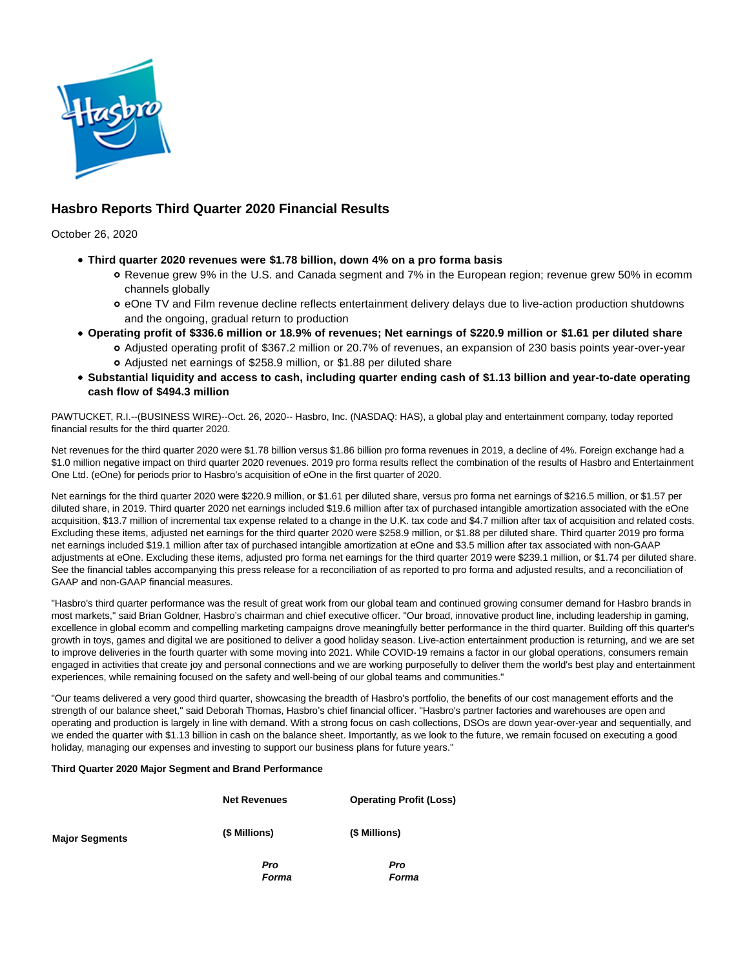

# **Hasbro Reports Third Quarter 2020 Financial Results**

October 26, 2020

- **Third quarter 2020 revenues were \$1.78 billion, down 4% on a pro forma basis**
	- Revenue grew 9% in the U.S. and Canada segment and 7% in the European region; revenue grew 50% in ecomm channels globally
	- o eOne TV and Film revenue decline reflects entertainment delivery delays due to live-action production shutdowns and the ongoing, gradual return to production
- **Operating profit of \$336.6 million or 18.9% of revenues; Net earnings of \$220.9 million or \$1.61 per diluted share**
	- Adjusted operating profit of \$367.2 million or 20.7% of revenues, an expansion of 230 basis points year-over-year Adjusted net earnings of \$258.9 million, or \$1.88 per diluted share
- **Substantial liquidity and access to cash, including quarter ending cash of \$1.13 billion and year-to-date operating cash flow of \$494.3 million**

PAWTUCKET, R.I.--(BUSINESS WIRE)--Oct. 26, 2020-- Hasbro, Inc. (NASDAQ: HAS), a global play and entertainment company, today reported financial results for the third quarter 2020.

Net revenues for the third quarter 2020 were \$1.78 billion versus \$1.86 billion pro forma revenues in 2019, a decline of 4%. Foreign exchange had a \$1.0 million negative impact on third quarter 2020 revenues. 2019 pro forma results reflect the combination of the results of Hasbro and Entertainment One Ltd. (eOne) for periods prior to Hasbro's acquisition of eOne in the first quarter of 2020.

Net earnings for the third quarter 2020 were \$220.9 million, or \$1.61 per diluted share, versus pro forma net earnings of \$216.5 million, or \$1.57 per diluted share, in 2019. Third quarter 2020 net earnings included \$19.6 million after tax of purchased intangible amortization associated with the eOne acquisition, \$13.7 million of incremental tax expense related to a change in the U.K. tax code and \$4.7 million after tax of acquisition and related costs. Excluding these items, adjusted net earnings for the third quarter 2020 were \$258.9 million, or \$1.88 per diluted share. Third quarter 2019 pro forma net earnings included \$19.1 million after tax of purchased intangible amortization at eOne and \$3.5 million after tax associated with non-GAAP adjustments at eOne. Excluding these items, adjusted pro forma net earnings for the third quarter 2019 were \$239.1 million, or \$1.74 per diluted share. See the financial tables accompanying this press release for a reconciliation of as reported to pro forma and adjusted results, and a reconciliation of GAAP and non-GAAP financial measures.

"Hasbro's third quarter performance was the result of great work from our global team and continued growing consumer demand for Hasbro brands in most markets," said Brian Goldner, Hasbro's chairman and chief executive officer. "Our broad, innovative product line, including leadership in gaming, excellence in global ecomm and compelling marketing campaigns drove meaningfully better performance in the third quarter. Building off this quarter's growth in toys, games and digital we are positioned to deliver a good holiday season. Live-action entertainment production is returning, and we are set to improve deliveries in the fourth quarter with some moving into 2021. While COVID-19 remains a factor in our global operations, consumers remain engaged in activities that create joy and personal connections and we are working purposefully to deliver them the world's best play and entertainment experiences, while remaining focused on the safety and well-being of our global teams and communities."

"Our teams delivered a very good third quarter, showcasing the breadth of Hasbro's portfolio, the benefits of our cost management efforts and the strength of our balance sheet," said Deborah Thomas, Hasbro's chief financial officer. "Hasbro's partner factories and warehouses are open and operating and production is largely in line with demand. With a strong focus on cash collections, DSOs are down year-over-year and sequentially, and we ended the quarter with \$1.13 billion in cash on the balance sheet. Importantly, as we look to the future, we remain focused on executing a good holiday, managing our expenses and investing to support our business plans for future years."

#### **Third Quarter 2020 Major Segment and Brand Performance**

**Major Segments**

| <b>Net Revenues</b> | <b>Operating Profit (Loss)</b> |
|---------------------|--------------------------------|
| (\$ Millions)       | (\$ Millions)                  |
| Pro<br>Forma        | Pro<br>Forma                   |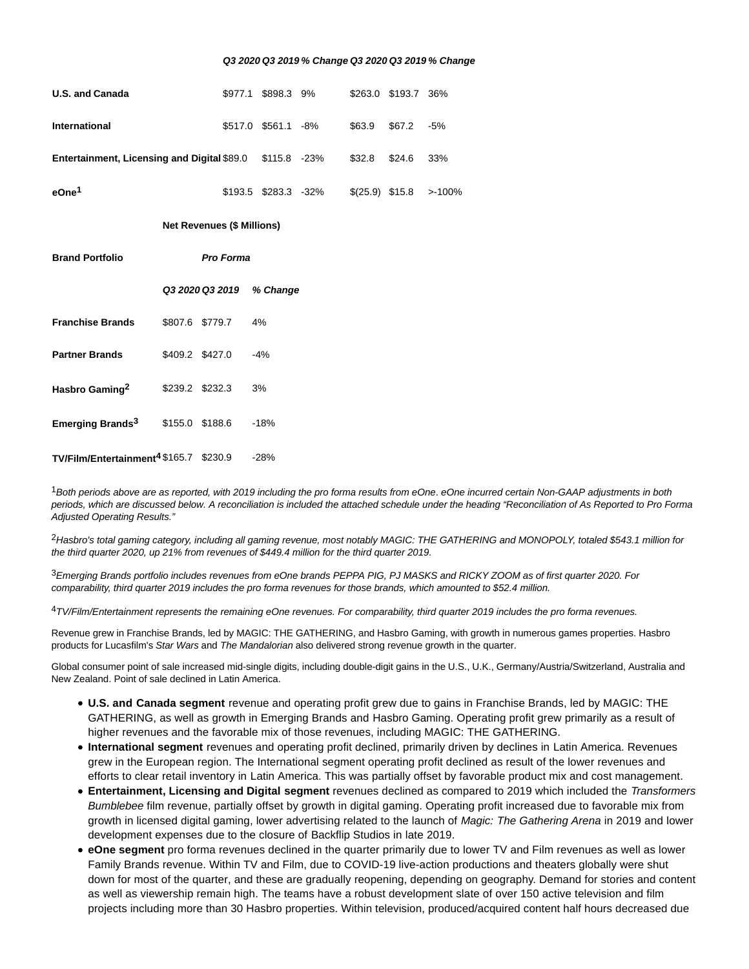#### **Q3 2020 Q3 2019 % Change Q3 2020 Q3 2019 % Change**

| <b>U.S. and Canada</b>                                   |                 |                  |  | \$977.1 \$898.3 9%       |                      |        | \$263.0 \$193.7 36% |           |  |  |  |
|----------------------------------------------------------|-----------------|------------------|--|--------------------------|----------------------|--------|---------------------|-----------|--|--|--|
| <b>International</b>                                     |                 |                  |  | \$517.0 \$561.1 -8%      |                      | \$63.9 | \$67.2              | $-5%$     |  |  |  |
| Entertainment, Licensing and Digital \$89.0 \$115.8 -23% |                 |                  |  |                          |                      | \$32.8 | \$24.6              | 33%       |  |  |  |
| eOne <sup>1</sup>                                        |                 |                  |  |                          | \$193.5 \$283.3 -32% |        | $$(25.9)$ \$15.8    | $> -100%$ |  |  |  |
| <b>Net Revenues (\$ Millions)</b>                        |                 |                  |  |                          |                      |        |                     |           |  |  |  |
| <b>Brand Portfolio</b>                                   |                 | <b>Pro Forma</b> |  |                          |                      |        |                     |           |  |  |  |
|                                                          |                 |                  |  | Q3 2020 Q3 2019 % Change |                      |        |                     |           |  |  |  |
| <b>Franchise Brands</b>                                  | \$807.6 \$779.7 |                  |  | 4%                       |                      |        |                     |           |  |  |  |
| <b>Partner Brands</b>                                    | \$409.2 \$427.0 |                  |  | $-4%$                    |                      |        |                     |           |  |  |  |
| Hasbro Gaming <sup>2</sup>                               | \$239.2 \$232.3 |                  |  | 3%                       |                      |        |                     |           |  |  |  |
| Emerging Brands <sup>3</sup>                             | \$155.0 \$188.6 |                  |  | $-18%$                   |                      |        |                     |           |  |  |  |
| TV/Film/Entertainment <sup>4</sup> \$165.7 \$230.9       |                 |                  |  | $-28%$                   |                      |        |                     |           |  |  |  |

<sup>1</sup> Both periods above are as reported, with 2019 including the pro forma results from eOne. eOne incurred certain Non-GAAP adjustments in both periods, which are discussed below. A reconciliation is included the attached schedule under the heading "Reconciliation of As Reported to Pro Forma Adjusted Operating Results."

<sup>2</sup>Hasbro's total gaming category, including all gaming revenue, most notably MAGIC: THE GATHERING and MONOPOLY, totaled \$543.1 million for the third quarter 2020, up 21% from revenues of \$449.4 million for the third quarter 2019.

3Emerging Brands portfolio includes revenues from eOne brands PEPPA PIG, PJ MASKS and RICKY ZOOM as of first quarter 2020. For comparability, third quarter 2019 includes the pro forma revenues for those brands, which amounted to \$52.4 million.

4TV/Film/Entertainment represents the remaining eOne revenues. For comparability, third quarter 2019 includes the pro forma revenues.

Revenue grew in Franchise Brands, led by MAGIC: THE GATHERING, and Hasbro Gaming, with growth in numerous games properties. Hasbro products for Lucasfilm's Star Wars and The Mandalorian also delivered strong revenue growth in the quarter.

Global consumer point of sale increased mid-single digits, including double-digit gains in the U.S., U.K., Germany/Austria/Switzerland, Australia and New Zealand. Point of sale declined in Latin America.

- **U.S. and Canada segment** revenue and operating profit grew due to gains in Franchise Brands, led by MAGIC: THE GATHERING, as well as growth in Emerging Brands and Hasbro Gaming. Operating profit grew primarily as a result of higher revenues and the favorable mix of those revenues, including MAGIC: THE GATHERING.
- **International segment** revenues and operating profit declined, primarily driven by declines in Latin America. Revenues grew in the European region. The International segment operating profit declined as result of the lower revenues and efforts to clear retail inventory in Latin America. This was partially offset by favorable product mix and cost management.
- **Entertainment, Licensing and Digital segment** revenues declined as compared to 2019 which included the Transformers Bumblebee film revenue, partially offset by growth in digital gaming. Operating profit increased due to favorable mix from growth in licensed digital gaming, lower advertising related to the launch of Magic: The Gathering Arena in 2019 and lower development expenses due to the closure of Backflip Studios in late 2019.
- **eOne segment** pro forma revenues declined in the quarter primarily due to lower TV and Film revenues as well as lower Family Brands revenue. Within TV and Film, due to COVID-19 live-action productions and theaters globally were shut down for most of the quarter, and these are gradually reopening, depending on geography. Demand for stories and content as well as viewership remain high. The teams have a robust development slate of over 150 active television and film projects including more than 30 Hasbro properties. Within television, produced/acquired content half hours decreased due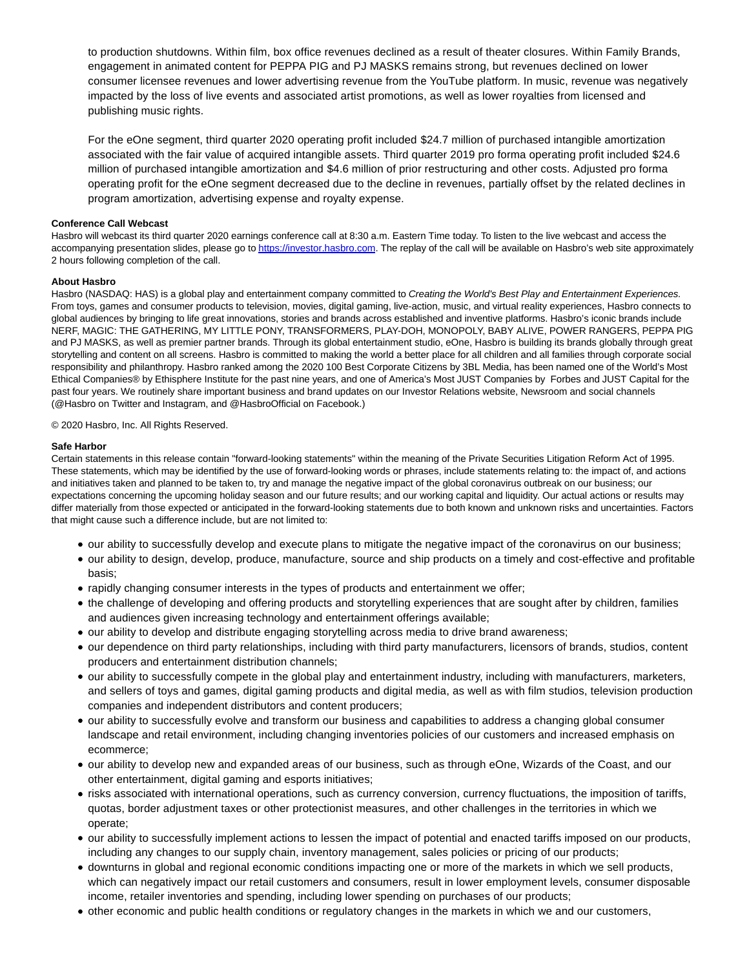to production shutdowns. Within film, box office revenues declined as a result of theater closures. Within Family Brands, engagement in animated content for PEPPA PIG and PJ MASKS remains strong, but revenues declined on lower consumer licensee revenues and lower advertising revenue from the YouTube platform. In music, revenue was negatively impacted by the loss of live events and associated artist promotions, as well as lower royalties from licensed and publishing music rights.

For the eOne segment, third quarter 2020 operating profit included \$24.7 million of purchased intangible amortization associated with the fair value of acquired intangible assets. Third quarter 2019 pro forma operating profit included \$24.6 million of purchased intangible amortization and \$4.6 million of prior restructuring and other costs. Adjusted pro forma operating profit for the eOne segment decreased due to the decline in revenues, partially offset by the related declines in program amortization, advertising expense and royalty expense.

## **Conference Call Webcast**

Hasbro will webcast its third quarter 2020 earnings conference call at 8:30 a.m. Eastern Time today. To listen to the live webcast and access the accompanying presentation slides, please go t[o https://investor.hasbro.com.](https://cts.businesswire.com/ct/CT?id=smartlink&url=https%3A%2F%2Finvestor.hasbro.com&esheet=52312878&newsitemid=20201026005435&lan=en-US&anchor=https%3A%2F%2Finvestor.hasbro.com&index=1&md5=c5b0874ed31328861a8786348e1f8423) The replay of the call will be available on Hasbro's web site approximately 2 hours following completion of the call.

## **About Hasbro**

Hasbro (NASDAQ: HAS) is a global play and entertainment company committed to Creating the World's Best Play and Entertainment Experiences. From toys, games and consumer products to television, movies, digital gaming, live-action, music, and virtual reality experiences, Hasbro connects to global audiences by bringing to life great innovations, stories and brands across established and inventive platforms. Hasbro's iconic brands include NERF, MAGIC: THE GATHERING, MY LITTLE PONY, TRANSFORMERS, PLAY-DOH, MONOPOLY, BABY ALIVE, POWER RANGERS, PEPPA PIG and PJ MASKS, as well as premier partner brands. Through its global entertainment studio, eOne, Hasbro is building its brands globally through great storytelling and content on all screens. Hasbro is committed to making the world a better place for all children and all families through corporate social responsibility and philanthropy. Hasbro ranked among the 2020 100 Best Corporate Citizens by 3BL Media, has been named one of the World's Most Ethical Companies® by Ethisphere Institute for the past nine years, and one of America's Most JUST Companies by Forbes and JUST Capital for the past four years. We routinely share important business and brand updates on our Investor Relations website, Newsroom and social channels (@Hasbro on Twitter and Instagram, and @HasbroOfficial on Facebook.)

#### © 2020 Hasbro, Inc. All Rights Reserved.

#### **Safe Harbor**

Certain statements in this release contain "forward-looking statements" within the meaning of the Private Securities Litigation Reform Act of 1995. These statements, which may be identified by the use of forward-looking words or phrases, include statements relating to: the impact of, and actions and initiatives taken and planned to be taken to, try and manage the negative impact of the global coronavirus outbreak on our business; our expectations concerning the upcoming holiday season and our future results; and our working capital and liquidity. Our actual actions or results may differ materially from those expected or anticipated in the forward-looking statements due to both known and unknown risks and uncertainties. Factors that might cause such a difference include, but are not limited to:

- our ability to successfully develop and execute plans to mitigate the negative impact of the coronavirus on our business;
- our ability to design, develop, produce, manufacture, source and ship products on a timely and cost-effective and profitable basis;
- rapidly changing consumer interests in the types of products and entertainment we offer:
- the challenge of developing and offering products and storytelling experiences that are sought after by children, families and audiences given increasing technology and entertainment offerings available;
- our ability to develop and distribute engaging storytelling across media to drive brand awareness;
- our dependence on third party relationships, including with third party manufacturers, licensors of brands, studios, content producers and entertainment distribution channels;
- our ability to successfully compete in the global play and entertainment industry, including with manufacturers, marketers, and sellers of toys and games, digital gaming products and digital media, as well as with film studios, television production companies and independent distributors and content producers;
- our ability to successfully evolve and transform our business and capabilities to address a changing global consumer landscape and retail environment, including changing inventories policies of our customers and increased emphasis on ecommerce;
- our ability to develop new and expanded areas of our business, such as through eOne, Wizards of the Coast, and our other entertainment, digital gaming and esports initiatives;
- risks associated with international operations, such as currency conversion, currency fluctuations, the imposition of tariffs, quotas, border adjustment taxes or other protectionist measures, and other challenges in the territories in which we operate;
- our ability to successfully implement actions to lessen the impact of potential and enacted tariffs imposed on our products, including any changes to our supply chain, inventory management, sales policies or pricing of our products;
- downturns in global and regional economic conditions impacting one or more of the markets in which we sell products, which can negatively impact our retail customers and consumers, result in lower employment levels, consumer disposable income, retailer inventories and spending, including lower spending on purchases of our products;
- other economic and public health conditions or regulatory changes in the markets in which we and our customers,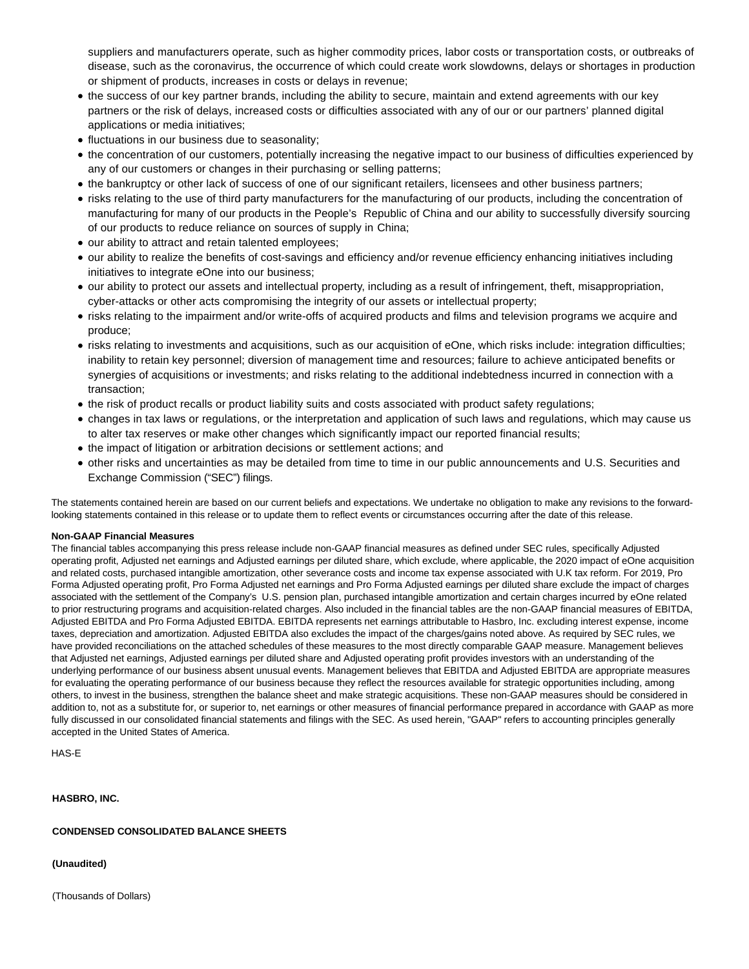suppliers and manufacturers operate, such as higher commodity prices, labor costs or transportation costs, or outbreaks of disease, such as the coronavirus, the occurrence of which could create work slowdowns, delays or shortages in production or shipment of products, increases in costs or delays in revenue;

- the success of our key partner brands, including the ability to secure, maintain and extend agreements with our key partners or the risk of delays, increased costs or difficulties associated with any of our or our partners' planned digital applications or media initiatives;
- fluctuations in our business due to seasonality;
- the concentration of our customers, potentially increasing the negative impact to our business of difficulties experienced by any of our customers or changes in their purchasing or selling patterns;
- the bankruptcy or other lack of success of one of our significant retailers, licensees and other business partners;
- risks relating to the use of third party manufacturers for the manufacturing of our products, including the concentration of manufacturing for many of our products in the People's Republic of China and our ability to successfully diversify sourcing of our products to reduce reliance on sources of supply in China;
- our ability to attract and retain talented employees;
- our ability to realize the benefits of cost-savings and efficiency and/or revenue efficiency enhancing initiatives including initiatives to integrate eOne into our business;
- our ability to protect our assets and intellectual property, including as a result of infringement, theft, misappropriation, cyber-attacks or other acts compromising the integrity of our assets or intellectual property;
- risks relating to the impairment and/or write-offs of acquired products and films and television programs we acquire and produce;
- risks relating to investments and acquisitions, such as our acquisition of eOne, which risks include: integration difficulties; inability to retain key personnel; diversion of management time and resources; failure to achieve anticipated benefits or synergies of acquisitions or investments; and risks relating to the additional indebtedness incurred in connection with a transaction;
- the risk of product recalls or product liability suits and costs associated with product safety regulations;
- changes in tax laws or regulations, or the interpretation and application of such laws and regulations, which may cause us to alter tax reserves or make other changes which significantly impact our reported financial results;
- the impact of litigation or arbitration decisions or settlement actions; and
- other risks and uncertainties as may be detailed from time to time in our public announcements and U.S. Securities and Exchange Commission ("SEC") filings.

The statements contained herein are based on our current beliefs and expectations. We undertake no obligation to make any revisions to the forwardlooking statements contained in this release or to update them to reflect events or circumstances occurring after the date of this release.

# **Non-GAAP Financial Measures**

The financial tables accompanying this press release include non-GAAP financial measures as defined under SEC rules, specifically Adjusted operating profit, Adjusted net earnings and Adjusted earnings per diluted share, which exclude, where applicable, the 2020 impact of eOne acquisition and related costs, purchased intangible amortization, other severance costs and income tax expense associated with U.K tax reform. For 2019, Pro Forma Adjusted operating profit, Pro Forma Adjusted net earnings and Pro Forma Adjusted earnings per diluted share exclude the impact of charges associated with the settlement of the Company's U.S. pension plan, purchased intangible amortization and certain charges incurred by eOne related to prior restructuring programs and acquisition-related charges. Also included in the financial tables are the non-GAAP financial measures of EBITDA, Adjusted EBITDA and Pro Forma Adjusted EBITDA. EBITDA represents net earnings attributable to Hasbro, Inc. excluding interest expense, income taxes, depreciation and amortization. Adjusted EBITDA also excludes the impact of the charges/gains noted above. As required by SEC rules, we have provided reconciliations on the attached schedules of these measures to the most directly comparable GAAP measure. Management believes that Adjusted net earnings, Adjusted earnings per diluted share and Adjusted operating profit provides investors with an understanding of the underlying performance of our business absent unusual events. Management believes that EBITDA and Adjusted EBITDA are appropriate measures for evaluating the operating performance of our business because they reflect the resources available for strategic opportunities including, among others, to invest in the business, strengthen the balance sheet and make strategic acquisitions. These non-GAAP measures should be considered in addition to, not as a substitute for, or superior to, net earnings or other measures of financial performance prepared in accordance with GAAP as more fully discussed in our consolidated financial statements and filings with the SEC. As used herein, "GAAP" refers to accounting principles generally accepted in the United States of America.

HAS-E

**HASBRO, INC.**

# **CONDENSED CONSOLIDATED BALANCE SHEETS**

**(Unaudited)**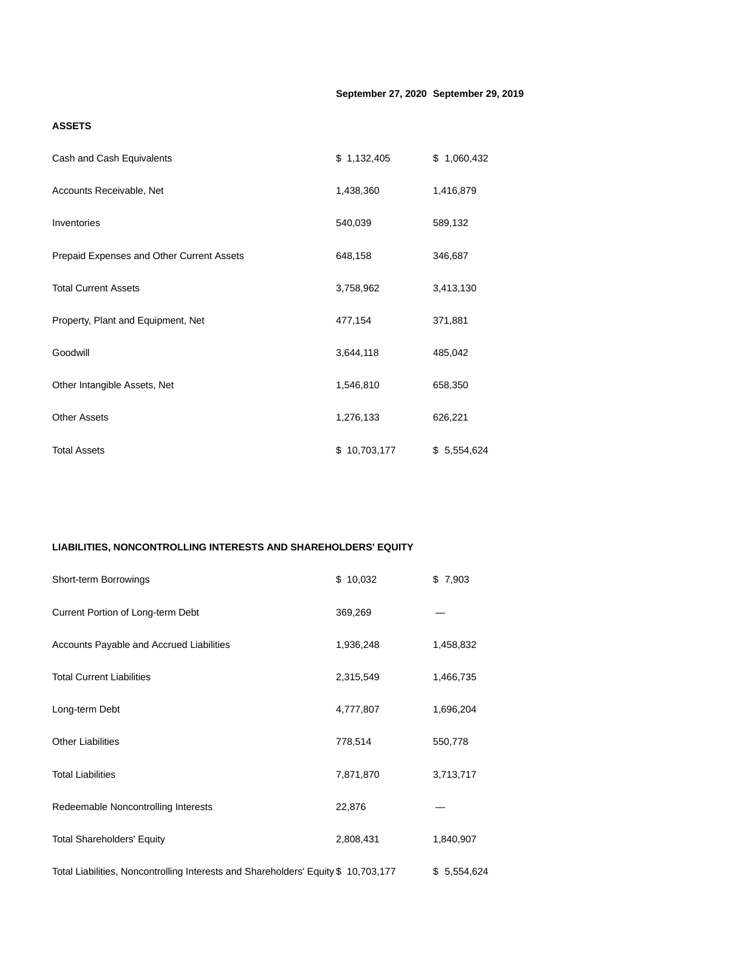# **ASSETS**

| Cash and Cash Equivalents                 | \$1,132,405  | \$1,060,432 |
|-------------------------------------------|--------------|-------------|
| Accounts Receivable, Net                  | 1,438,360    | 1,416,879   |
| Inventories                               | 540,039      | 589,132     |
| Prepaid Expenses and Other Current Assets | 648,158      | 346,687     |
| <b>Total Current Assets</b>               | 3,758,962    | 3,413,130   |
| Property, Plant and Equipment, Net        | 477,154      | 371,881     |
| Goodwill                                  | 3,644,118    | 485,042     |
| Other Intangible Assets, Net              | 1,546,810    | 658,350     |
| <b>Other Assets</b>                       | 1,276,133    | 626,221     |
| <b>Total Assets</b>                       | \$10,703,177 | \$5,554,624 |

# **LIABILITIES, NONCONTROLLING INTERESTS AND SHAREHOLDERS' EQUITY**

| Short-term Borrowings                                                              | \$10,032  | \$7,903     |
|------------------------------------------------------------------------------------|-----------|-------------|
| Current Portion of Long-term Debt                                                  | 369,269   |             |
| Accounts Payable and Accrued Liabilities                                           | 1,936,248 | 1,458,832   |
| <b>Total Current Liabilities</b>                                                   | 2,315,549 | 1,466,735   |
| Long-term Debt                                                                     | 4,777,807 | 1,696,204   |
| <b>Other Liabilities</b>                                                           | 778,514   | 550,778     |
| <b>Total Liabilities</b>                                                           | 7,871,870 | 3,713,717   |
| Redeemable Noncontrolling Interests                                                | 22,876    |             |
| <b>Total Shareholders' Equity</b>                                                  | 2,808,431 | 1,840,907   |
| Total Liabilities, Noncontrolling Interests and Shareholders' Equity \$ 10,703,177 |           | \$5,554,624 |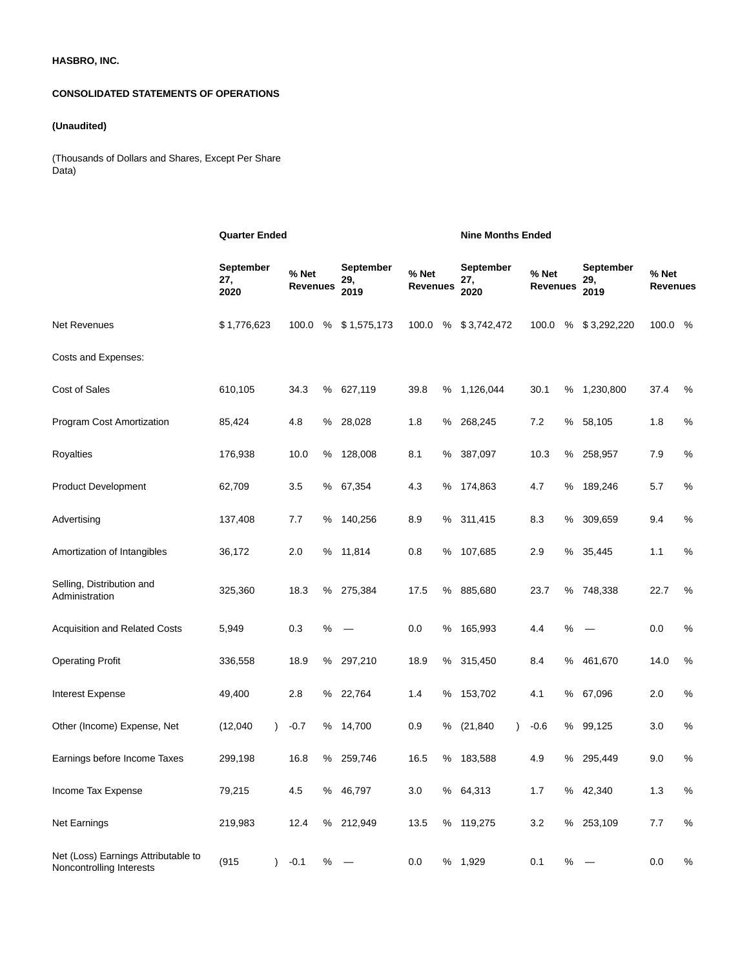# **HASBRO, INC.**

# **CONSOLIDATED STATEMENTS OF OPERATIONS**

# **(Unaudited)**

(Thousands of Dollars and Shares, Except Per Share Data)

|                                                                 | <b>Quarter Ended</b>     |                          |      |                          |                          |      | <b>Nine Months Ended</b>        |                          |      |                          |                          |      |  |
|-----------------------------------------------------------------|--------------------------|--------------------------|------|--------------------------|--------------------------|------|---------------------------------|--------------------------|------|--------------------------|--------------------------|------|--|
|                                                                 | September<br>27,<br>2020 | % Net<br><b>Revenues</b> |      | September<br>29,<br>2019 | % Net<br><b>Revenues</b> |      | <b>September</b><br>27,<br>2020 | % Net<br><b>Revenues</b> |      | September<br>29,<br>2019 | % Net<br><b>Revenues</b> |      |  |
| <b>Net Revenues</b>                                             | \$1,776,623              | 100.0                    | %    | \$1,575,173              | 100.0                    | %    | \$3,742,472                     | 100.0                    | $\%$ | \$3,292,220              | 100.0                    | %    |  |
| Costs and Expenses:                                             |                          |                          |      |                          |                          |      |                                 |                          |      |                          |                          |      |  |
| <b>Cost of Sales</b>                                            | 610,105                  | 34.3                     | $\%$ | 627,119                  | 39.8                     | $\%$ | 1,126,044                       | 30.1                     | $\%$ | 1,230,800                | 37.4                     | $\%$ |  |
| Program Cost Amortization                                       | 85,424                   | 4.8                      | ℅    | 28,028                   | 1.8                      | %    | 268,245                         | 7.2                      | $\%$ | 58,105                   | 1.8                      | $\%$ |  |
| Royalties                                                       | 176,938                  | 10.0                     | ℅    | 128,008                  | 8.1                      | $\%$ | 387,097                         | 10.3                     | %    | 258,957                  | 7.9                      | $\%$ |  |
| <b>Product Development</b>                                      | 62,709                   | 3.5                      | ℅    | 67,354                   | 4.3                      | %    | 174,863                         | 4.7                      | %    | 189,246                  | 5.7                      | $\%$ |  |
| Advertising                                                     | 137,408                  | 7.7                      | ℅    | 140,256                  | 8.9                      | $\%$ | 311,415                         | 8.3                      | $\%$ | 309,659                  | 9.4                      | $\%$ |  |
| Amortization of Intangibles                                     | 36,172                   | 2.0                      | %    | 11,814                   | 0.8                      | $\%$ | 107,685                         | 2.9                      | $\%$ | 35,445                   | 1.1                      | $\%$ |  |
| Selling, Distribution and<br>Administration                     | 325,360                  | 18.3                     | %    | 275,384                  | 17.5                     | %    | 885,680                         | 23.7                     | $\%$ | 748,338                  | 22.7                     | $\%$ |  |
| Acquisition and Related Costs                                   | 5,949                    | 0.3                      | $\%$ |                          | 0.0                      | $\%$ | 165,993                         | 4.4                      | $\%$ |                          | 0.0                      | $\%$ |  |
| <b>Operating Profit</b>                                         | 336,558                  | 18.9                     | ℅    | 297,210                  | 18.9                     | $\%$ | 315,450                         | 8.4                      | $\%$ | 461,670                  | 14.0                     | $\%$ |  |
| <b>Interest Expense</b>                                         | 49,400                   | 2.8                      | ℅    | 22,764                   | 1.4                      | %    | 153,702                         | 4.1                      | %    | 67,096                   | 2.0                      | $\%$ |  |
| Other (Income) Expense, Net                                     | (12,040)                 | $-0.7$                   | ℅    | 14,700                   | 0.9                      | $\%$ | (21, 840)<br>$\lambda$          | $-0.6$                   | $\%$ | 99,125                   | 3.0                      | $\%$ |  |
| Earnings before Income Taxes                                    | 299,198                  | 16.8                     | %    | 259,746                  | 16.5                     | ℅    | 183,588                         | 4.9                      | %    | 295,449                  | 9.0                      | $\%$ |  |
| Income Tax Expense                                              | 79,215                   | 4.5                      |      | % 46,797                 | 3.0                      |      | % 64,313                        | 1.7                      |      | % 42,340                 | 1.3                      | $\%$ |  |
| Net Earnings                                                    | 219,983                  | 12.4                     |      | % 212,949                | 13.5                     |      | % 119,275                       | 3.2                      |      | % 253,109                | 7.7                      | $\%$ |  |
| Net (Loss) Earnings Attributable to<br>Noncontrolling Interests | (915)<br>$\mathcal{L}$   | $-0.1$                   | %    |                          | 0.0                      |      | % 1,929                         | 0.1                      | $\%$ |                          | 0.0                      | $\%$ |  |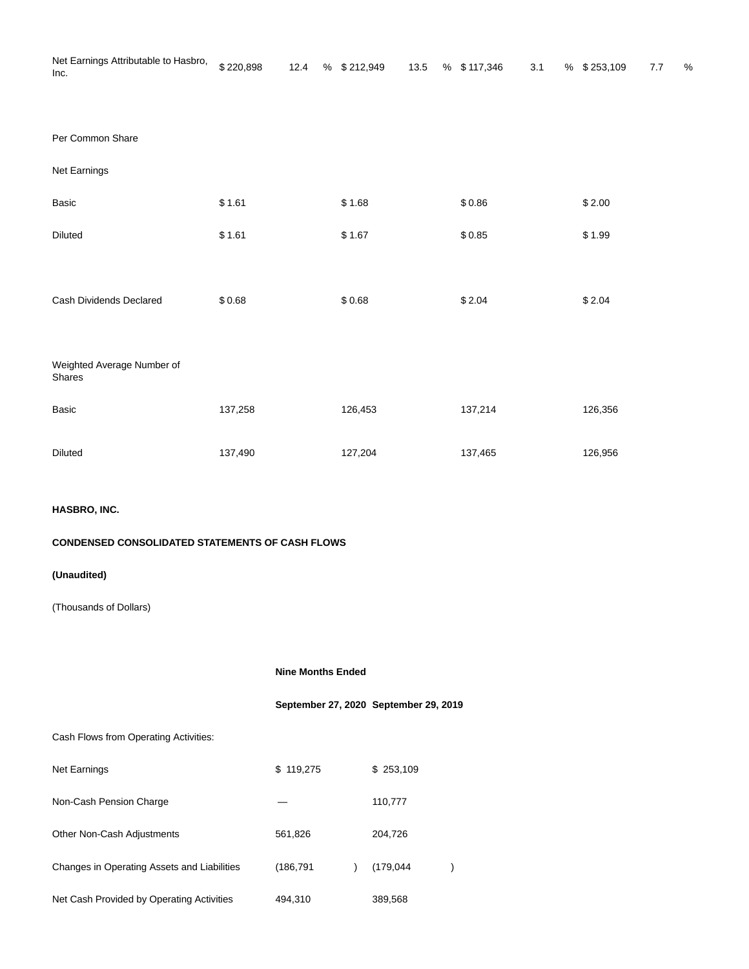| Net Earnings Attributable to Hasbro, \$220,898<br>Inc. |  | 12.4 % \$212,949 |  | 13.5 % \$117,346 3.1 |  | % \$253,109 | 7.7 | % |
|--------------------------------------------------------|--|------------------|--|----------------------|--|-------------|-----|---|
|                                                        |  |                  |  |                      |  |             |     |   |
| Per Common Share                                       |  |                  |  |                      |  |             |     |   |

|  | Per Common Share |
|--|------------------|
|  |                  |

| Net Earnings                         |         |         |         |         |
|--------------------------------------|---------|---------|---------|---------|
| Basic                                | \$1.61  | \$1.68  | \$0.86  | \$2.00  |
| Diluted                              | \$1.61  | \$1.67  | \$0.85  | \$1.99  |
|                                      |         |         |         |         |
| Cash Dividends Declared              | \$0.68  | \$0.68  | \$2.04  | \$2.04  |
|                                      |         |         |         |         |
| Weighted Average Number of<br>Shares |         |         |         |         |
| <b>Basic</b>                         | 137,258 | 126,453 | 137,214 | 126,356 |
| <b>Diluted</b>                       | 137,490 | 127,204 | 137,465 | 126,956 |

# **HASBRO, INC.**

# **CONDENSED CONSOLIDATED STATEMENTS OF CASH FLOWS**

# **(Unaudited)**

(Thousands of Dollars)

**Nine Months Ended**

**September 27, 2020 September 29, 2019**

# Cash Flows from Operating Activities:

| <b>Net Earnings</b>                         | \$119,275  | \$253,109  |  |
|---------------------------------------------|------------|------------|--|
| Non-Cash Pension Charge                     |            | 110,777    |  |
| <b>Other Non-Cash Adjustments</b>           | 561,826    | 204,726    |  |
| Changes in Operating Assets and Liabilities | (186, 791) | (179, 044) |  |
| Net Cash Provided by Operating Activities   | 494,310    | 389,568    |  |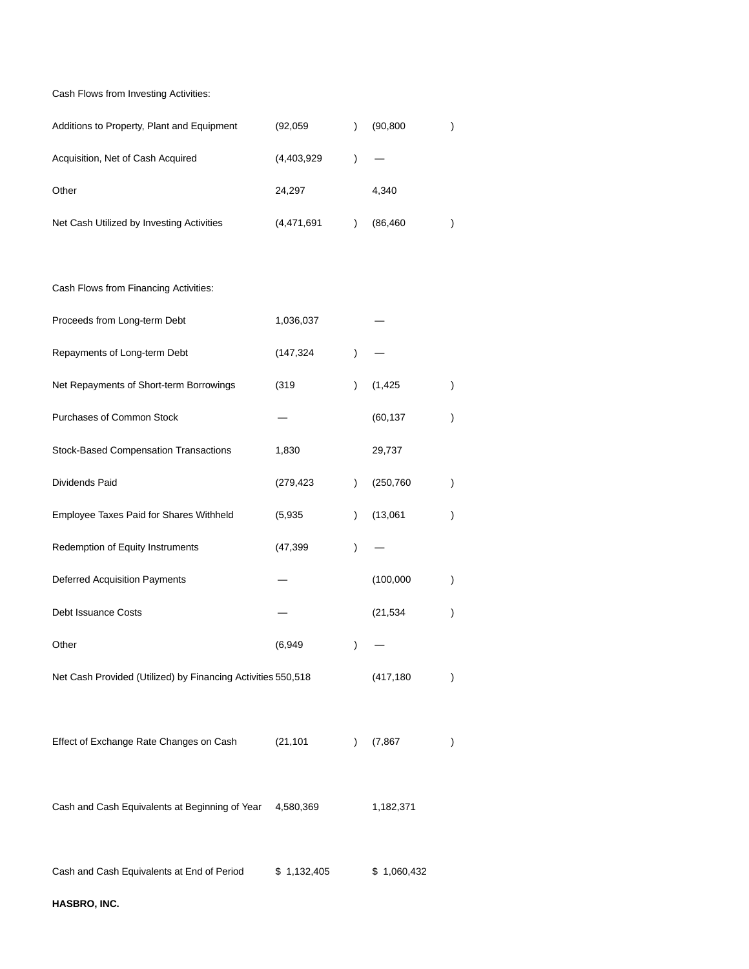Cash Flows from Investing Activities:

| Additions to Property, Plant and Equipment | (92,059)    | (90, 800) |  |
|--------------------------------------------|-------------|-----------|--|
| Acquisition, Net of Cash Acquired          | (4,403,929) |           |  |
| Other                                      | 24.297      | 4.340     |  |
| Net Cash Utilized by Investing Activities  | (4,471,691  | (86, 460) |  |

| Cash Flows from Financing Activities:                        |             |               |             |               |
|--------------------------------------------------------------|-------------|---------------|-------------|---------------|
| Proceeds from Long-term Debt                                 | 1,036,037   |               |             |               |
| Repayments of Long-term Debt                                 | (147, 324)  | $\mathcal{E}$ |             |               |
| Net Repayments of Short-term Borrowings                      | (319)       | $\mathcal{L}$ | (1, 425)    | $\lambda$     |
| Purchases of Common Stock                                    |             |               | (60, 137)   | $\mathcal{E}$ |
| <b>Stock-Based Compensation Transactions</b>                 | 1,830       |               | 29,737      |               |
| Dividends Paid                                               | (279, 423)  | $\mathcal{L}$ | (250, 760)  | $\lambda$     |
| Employee Taxes Paid for Shares Withheld                      | (5,935)     | $\lambda$     | (13,061)    | $\mathcal{E}$ |
| Redemption of Equity Instruments                             | (47, 399)   | $\mathcal{E}$ |             |               |
| <b>Deferred Acquisition Payments</b>                         |             |               | (100,000)   | $\lambda$     |
| <b>Debt Issuance Costs</b>                                   |             |               | (21, 534)   | $\mathcal{E}$ |
| Other                                                        | (6,949      | $\mathcal{E}$ |             |               |
| Net Cash Provided (Utilized) by Financing Activities 550,518 |             |               | (417, 180)  | $\lambda$     |
|                                                              |             |               |             |               |
| Effect of Exchange Rate Changes on Cash                      | (21, 101)   | $\lambda$     | (7, 867)    | $\lambda$     |
|                                                              |             |               |             |               |
| Cash and Cash Equivalents at Beginning of Year               | 4,580,369   |               | 1,182,371   |               |
|                                                              |             |               |             |               |
| Cash and Cash Equivalents at End of Period                   | \$1,132,405 |               | \$1,060,432 |               |

**HASBRO, INC.**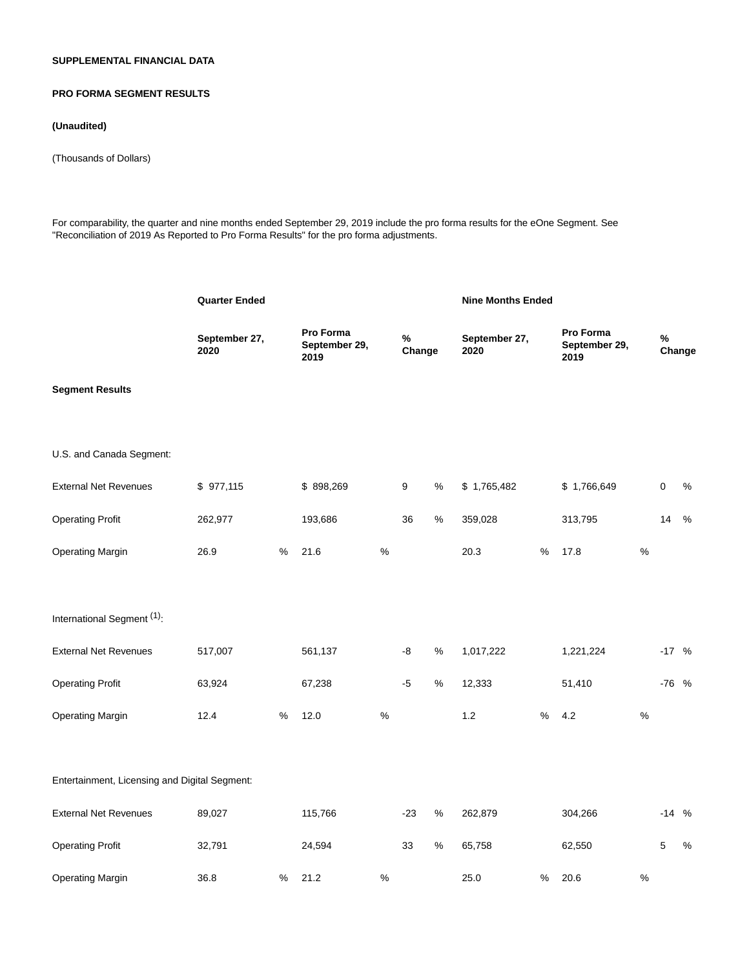# **SUPPLEMENTAL FINANCIAL DATA**

# **PRO FORMA SEGMENT RESULTS**

#### **(Unaudited)**

(Thousands of Dollars)

For comparability, the quarter and nine months ended September 29, 2019 include the pro forma results for the eOne Segment. See "Reconciliation of 2019 As Reported to Pro Forma Results" for the pro forma adjustments.

|                                               | <b>Quarter Ended</b>  |      |                                    |      |                |      | <b>Nine Months Ended</b> |      |                                    |      |         |        |
|-----------------------------------------------|-----------------------|------|------------------------------------|------|----------------|------|--------------------------|------|------------------------------------|------|---------|--------|
|                                               | September 27,<br>2020 |      | Pro Forma<br>September 29,<br>2019 |      | $\%$<br>Change |      | September 27,<br>2020    |      | Pro Forma<br>September 29,<br>2019 |      | $\%$    | Change |
| <b>Segment Results</b>                        |                       |      |                                    |      |                |      |                          |      |                                    |      |         |        |
| U.S. and Canada Segment:                      |                       |      |                                    |      |                |      |                          |      |                                    |      |         |        |
| <b>External Net Revenues</b>                  | \$977,115             |      | \$898,269                          |      | 9              | %    | \$1,765,482              |      | \$1,766,649                        |      | 0       | $\%$   |
| <b>Operating Profit</b>                       | 262,977               |      | 193,686                            |      | 36             | $\%$ | 359,028                  |      | 313,795                            |      | 14      | $\%$   |
| <b>Operating Margin</b>                       | 26.9                  | %    | 21.6                               | %    |                |      | 20.3                     | %    | 17.8                               | %    |         |        |
| International Segment (1):                    |                       |      |                                    |      |                |      |                          |      |                                    |      |         |        |
| <b>External Net Revenues</b>                  | 517,007               |      | 561,137                            |      | -8             | $\%$ | 1,017,222                |      | 1,221,224                          |      | $-17$ % |        |
| <b>Operating Profit</b>                       | 63,924                |      | 67,238                             |      | $-5$           | $\%$ | 12,333                   |      | 51,410                             |      | -76 %   |        |
| <b>Operating Margin</b>                       | 12.4                  | %    | 12.0                               | $\%$ |                |      | $1.2$                    | $\%$ | 4.2                                | %    |         |        |
| Entertainment, Licensing and Digital Segment: |                       |      |                                    |      |                |      |                          |      |                                    |      |         |        |
| <b>External Net Revenues</b>                  | 89,027                |      | 115,766                            |      | $-23$          | %    | 262,879                  |      | 304,266                            |      | $-14$ % |        |
| <b>Operating Profit</b>                       | 32,791                |      | 24,594                             |      | 33             | $\%$ | 65,758                   |      | 62,550                             |      | 5       | %      |
| <b>Operating Margin</b>                       | 36.8                  | $\%$ | 21.2                               | $\%$ |                |      | 25.0                     | %    | 20.6                               | $\%$ |         |        |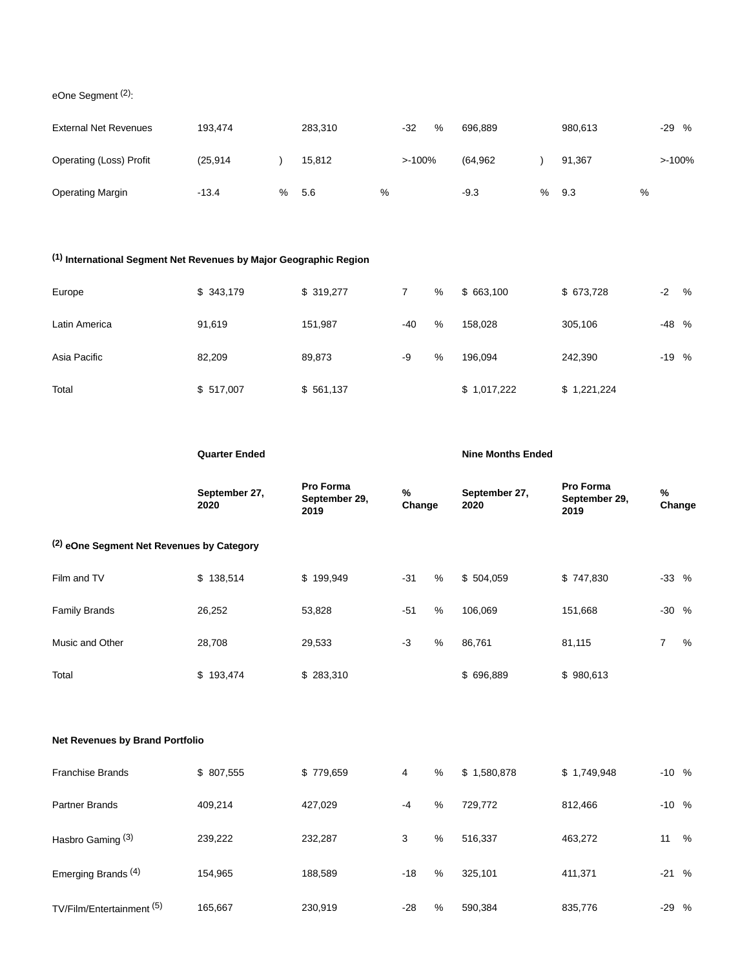eOne Segment (2):

| <b>External Net Revenues</b>   | 193.474  |   | 283.310 |      | $-32$    | % | 696.889  |   | 980.613 |   | -29 % |
|--------------------------------|----------|---|---------|------|----------|---|----------|---|---------|---|-------|
| <b>Operating (Loss) Profit</b> | (25.914) |   | 15.812  |      | $>100\%$ |   | (64.962) |   | 91.367  |   | >100% |
| <b>Operating Margin</b>        | $-13.4$  | % | 5.6     | $\%$ |          |   | $-9.3$   | % | 9.3     | % |       |

# **(1) International Segment Net Revenues by Major Geographic Region**

| Europe        | \$343,179 | \$319,277 |       | % | \$663,100   | \$673,728   | $-2$    | % |
|---------------|-----------|-----------|-------|---|-------------|-------------|---------|---|
| Latin America | 91,619    | 151,987   | $-40$ | % | 158.028     | 305,106     | -48 %   |   |
| Asia Pacific  | 82,209    | 89,873    | -9    | % | 196.094     | 242,390     | $-19$ % |   |
| Total         | \$517,007 | \$561,137 |       |   | \$1,017,222 | \$1,221,224 |         |   |

|                                                      | <b>Quarter Ended</b>  |                                    |             | <b>Nine Months Ended</b> |                       |                                    |                |   |  |  |  |
|------------------------------------------------------|-----------------------|------------------------------------|-------------|--------------------------|-----------------------|------------------------------------|----------------|---|--|--|--|
|                                                      | September 27,<br>2020 | Pro Forma<br>September 29,<br>2019 | %<br>Change |                          | September 27,<br>2020 | Pro Forma<br>September 29,<br>2019 | %<br>Change    |   |  |  |  |
| <sup>(2)</sup> eOne Segment Net Revenues by Category |                       |                                    |             |                          |                       |                                    |                |   |  |  |  |
| Film and TV                                          | \$138,514             | \$199,949                          | $-31$       | %                        | \$504,059             | \$747,830                          | $-33$ %        |   |  |  |  |
| <b>Family Brands</b>                                 | 26,252                | 53,828                             | $-51$       | %                        | 106,069               | 151,668                            | $-30%$         |   |  |  |  |
| Music and Other                                      | 28,708                | 29,533                             | $-3$        | %                        | 86,761                | 81,115                             | $\overline{7}$ | % |  |  |  |
| Total                                                | \$193,474             | \$283,310                          |             |                          | \$696,889             | \$980,613                          |                |   |  |  |  |
|                                                      |                       |                                    |             |                          |                       |                                    |                |   |  |  |  |
| <b>Net Revenues by Brand Portfolio</b>               |                       |                                    |             |                          |                       |                                    |                |   |  |  |  |

| <b>Franchise Brands</b>        | \$807,555 | \$779,659 | 4     | % | \$1,580,878 | \$1,749,948 | $-10\%$ |   |
|--------------------------------|-----------|-----------|-------|---|-------------|-------------|---------|---|
| Partner Brands                 | 409.214   | 427.029   | $-4$  | % | 729.772     | 812,466     | $-10\%$ |   |
| Hasbro Gaming <sup>(3)</sup>   | 239,222   | 232,287   | 3     | % | 516,337     | 463,272     | 11      | % |
| Emerging Brands <sup>(4)</sup> | 154,965   | 188,589   | $-18$ | % | 325,101     | 411,371     | $-21$   | % |
| TV/Film/Entertainment (5)      | 165,667   | 230,919   | $-28$ | % | 590,384     | 835,776     | $-29$ % |   |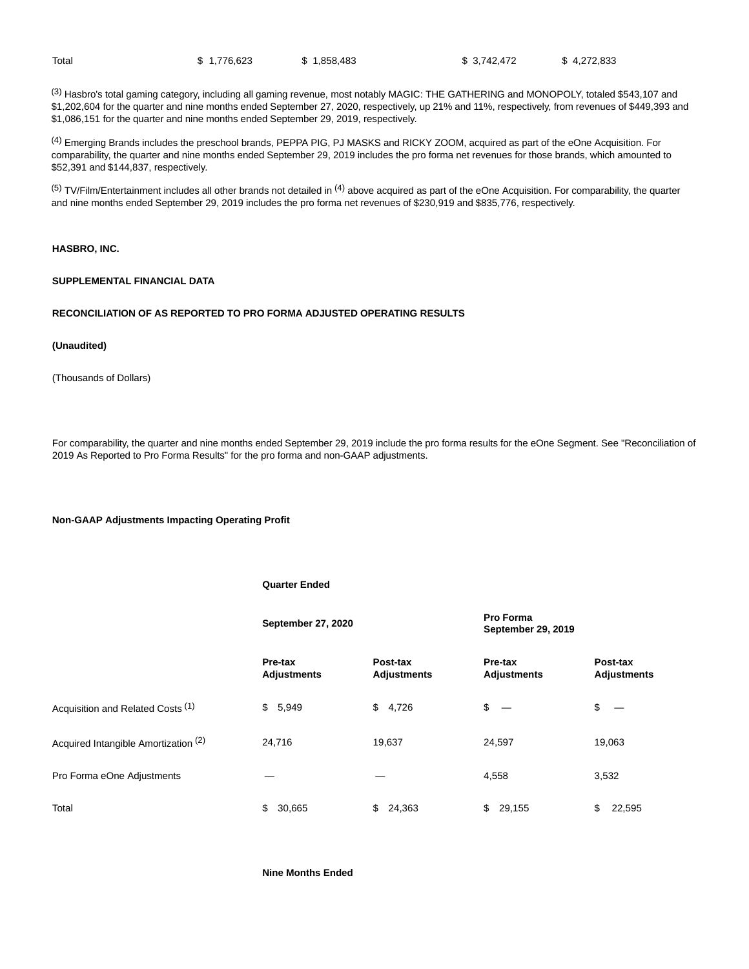(3) Hasbro's total gaming category, including all gaming revenue, most notably MAGIC: THE GATHERING and MONOPOLY, totaled \$543,107 and \$1,202,604 for the quarter and nine months ended September 27, 2020, respectively, up 21% and 11%, respectively, from revenues of \$449,393 and \$1,086,151 for the quarter and nine months ended September 29, 2019, respectively.

(4) Emerging Brands includes the preschool brands, PEPPA PIG, PJ MASKS and RICKY ZOOM, acquired as part of the eOne Acquisition. For comparability, the quarter and nine months ended September 29, 2019 includes the pro forma net revenues for those brands, which amounted to \$52,391 and \$144,837, respectively.

 $(5)$  TV/Film/Entertainment includes all other brands not detailed in  $(4)$  above acquired as part of the eOne Acquisition. For comparability, the quarter and nine months ended September 29, 2019 includes the pro forma net revenues of \$230,919 and \$835,776, respectively.

## **HASBRO, INC.**

## **SUPPLEMENTAL FINANCIAL DATA**

#### **RECONCILIATION OF AS REPORTED TO PRO FORMA ADJUSTED OPERATING RESULTS**

#### **(Unaudited)**

(Thousands of Dollars)

For comparability, the quarter and nine months ended September 29, 2019 include the pro forma results for the eOne Segment. See "Reconciliation of 2019 As Reported to Pro Forma Results" for the pro forma and non-GAAP adjustments.

#### **Non-GAAP Adjustments Impacting Operating Profit**

|                                      | <b>Quarter Ended</b>          |                                |                                 |                                |  |  |
|--------------------------------------|-------------------------------|--------------------------------|---------------------------------|--------------------------------|--|--|
|                                      | September 27, 2020            |                                | Pro Forma<br>September 29, 2019 |                                |  |  |
|                                      | Pre-tax<br><b>Adjustments</b> | Post-tax<br><b>Adjustments</b> | Pre-tax<br><b>Adjustments</b>   | Post-tax<br><b>Adjustments</b> |  |  |
| Acquisition and Related Costs (1)    | \$<br>5,949                   | \$<br>4,726                    | \$<br>$\overline{\phantom{a}}$  | \$                             |  |  |
| Acquired Intangible Amortization (2) | 24,716                        | 19,637                         | 24,597                          | 19,063                         |  |  |
| Pro Forma eOne Adjustments           |                               |                                | 4,558                           | 3,532                          |  |  |
| Total                                | \$<br>30,665                  | \$<br>24,363                   | \$<br>29,155                    | \$<br>22,595                   |  |  |

**Nine Months Ended**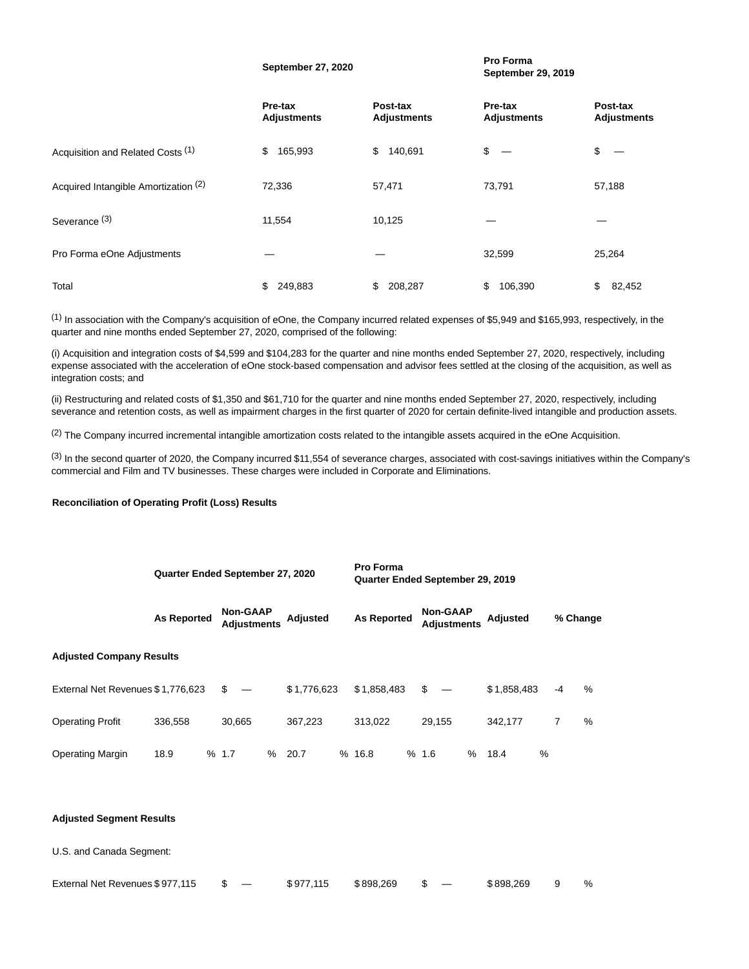|                                      | September 27, 2020            |                                | September 29, 2019             |                                |
|--------------------------------------|-------------------------------|--------------------------------|--------------------------------|--------------------------------|
|                                      | Pre-tax<br><b>Adjustments</b> | Post-tax<br><b>Adjustments</b> | Pre-tax<br><b>Adjustments</b>  | Post-tax<br><b>Adjustments</b> |
| Acquisition and Related Costs (1)    | \$<br>165,993                 | \$<br>140,691                  | \$<br>$\overline{\phantom{m}}$ | \$                             |
| Acquired Intangible Amortization (2) | 72,336                        | 57,471                         | 73,791                         | 57,188                         |
| Severance <sup>(3)</sup>             | 11,554                        | 10,125                         |                                |                                |
| Pro Forma eOne Adjustments           |                               |                                | 32,599                         | 25,264                         |
| Total                                | \$<br>249,883                 | \$<br>208,287                  | 106,390<br>\$                  | \$<br>82,452                   |

**September 27, 2020 Pro Forma**

 $<sup>(1)</sup>$  In association with the Company's acquisition of eOne, the Company incurred related expenses of \$5,949 and \$165,993, respectively, in the</sup> quarter and nine months ended September 27, 2020, comprised of the following:

(i) Acquisition and integration costs of \$4,599 and \$104,283 for the quarter and nine months ended September 27, 2020, respectively, including expense associated with the acceleration of eOne stock-based compensation and advisor fees settled at the closing of the acquisition, as well as integration costs; and

(ii) Restructuring and related costs of \$1,350 and \$61,710 for the quarter and nine months ended September 27, 2020, respectively, including severance and retention costs, as well as impairment charges in the first quarter of 2020 for certain definite-lived intangible and production assets.

(2) The Company incurred incremental intangible amortization costs related to the intangible assets acquired in the eOne Acquisition.

(3) In the second quarter of 2020, the Company incurred \$11,554 of severance charges, associated with cost-savings initiatives within the Company's commercial and Film and TV businesses. These charges were included in Corporate and Eliminations.

#### **Reconciliation of Operating Profit (Loss) Results**

|                                   | Quarter Ended September 27, 2020 |  |                                       |   |                 | <b>Pro Forma</b><br>Quarter Ended September 29, 2019 |  |                                       |      |             |      |          |      |  |  |
|-----------------------------------|----------------------------------|--|---------------------------------------|---|-----------------|------------------------------------------------------|--|---------------------------------------|------|-------------|------|----------|------|--|--|
|                                   | <b>As Reported</b>               |  | <b>Non-GAAP</b><br><b>Adjustments</b> |   | <b>Adjusted</b> | <b>As Reported</b>                                   |  | <b>Non-GAAP</b><br><b>Adiustments</b> |      | Adjusted    |      | % Change |      |  |  |
| <b>Adjusted Company Results</b>   |                                  |  |                                       |   |                 |                                                      |  |                                       |      |             |      |          |      |  |  |
| External Net Revenues \$1,776,623 |                                  |  | \$<br>$\overline{\phantom{m}}$        |   | \$1.776.623     | \$1,858,483                                          |  | $s -$                                 |      | \$1,858,483 | $-4$ |          | $\%$ |  |  |
| <b>Operating Profit</b>           | 336,558                          |  | 30.665                                |   | 367,223         | 313.022                                              |  | 29.155                                |      | 342.177     | 7    |          | %    |  |  |
| <b>Operating Margin</b>           | 18.9                             |  | % 1.7                                 | % | 20.7            | %16.8                                                |  | %1.6                                  | $\%$ | %<br>18.4   |      |          |      |  |  |

#### **Adjusted Segment Results**

U.S. and Canada Segment:

| External Net Revenues \$977.115 |  | \$977.115 | \$898.269 |  | \$898.269 |  | % |
|---------------------------------|--|-----------|-----------|--|-----------|--|---|
|---------------------------------|--|-----------|-----------|--|-----------|--|---|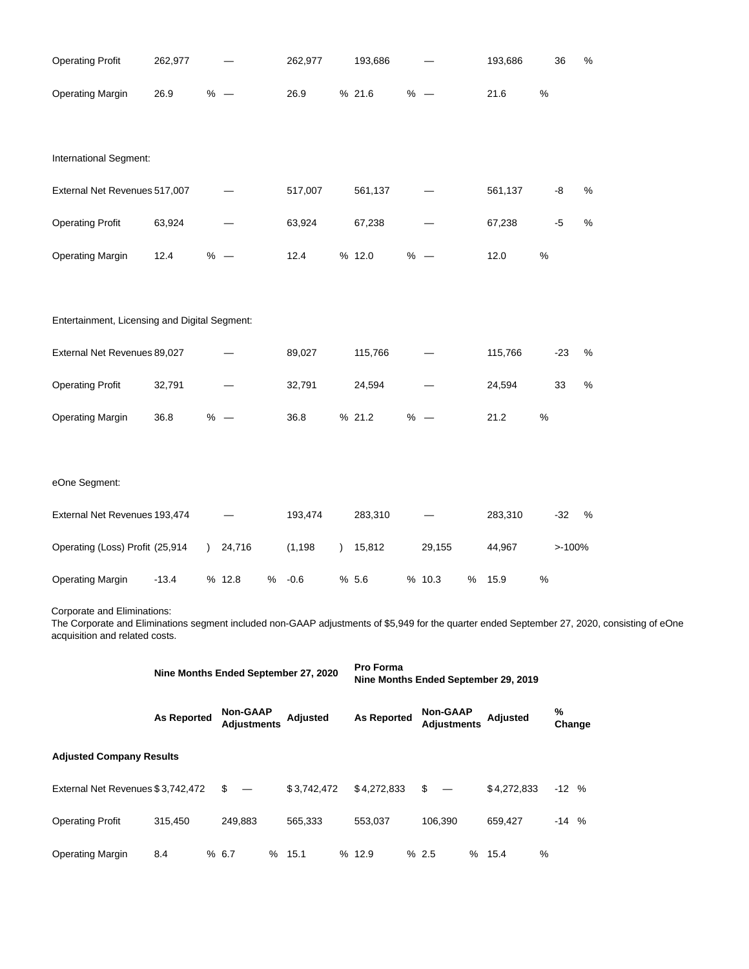| <b>Operating Profit</b>                                       | 262,977            |               |                                       | 262,977     | 193,686            |                                       | 193,686         |      | 36             | $\%$                                                                                                                                         |
|---------------------------------------------------------------|--------------------|---------------|---------------------------------------|-------------|--------------------|---------------------------------------|-----------------|------|----------------|----------------------------------------------------------------------------------------------------------------------------------------------|
| <b>Operating Margin</b>                                       | 26.9               | $% -$         |                                       | 26.9        | % 21.6             | $% -$                                 | 21.6            | $\%$ |                |                                                                                                                                              |
| International Segment:                                        |                    |               |                                       |             |                    |                                       |                 |      |                |                                                                                                                                              |
| External Net Revenues 517,007                                 |                    |               |                                       | 517,007     | 561,137            |                                       | 561,137         |      | -8             | $\%$                                                                                                                                         |
| <b>Operating Profit</b>                                       | 63,924             |               |                                       | 63,924      | 67,238             |                                       | 67,238          |      | $-5$           | $\%$                                                                                                                                         |
| <b>Operating Margin</b>                                       | 12.4               |               | $% -$                                 | 12.4        | % 12.0             | $% -$                                 | 12.0            | $\%$ |                |                                                                                                                                              |
| Entertainment, Licensing and Digital Segment:                 |                    |               |                                       |             |                    |                                       |                 |      |                |                                                                                                                                              |
| External Net Revenues 89,027                                  |                    |               |                                       | 89,027      | 115,766            |                                       | 115,766         |      | $-23$          | $\%$                                                                                                                                         |
| <b>Operating Profit</b>                                       | 32,791             |               |                                       | 32,791      | 24,594             |                                       | 24,594          |      | 33             | $\%$                                                                                                                                         |
| <b>Operating Margin</b>                                       | 36.8               | $% -$         |                                       | 36.8        | % 21.2             | $% -$                                 | 21.2            | $\%$ |                |                                                                                                                                              |
| eOne Segment:                                                 |                    |               |                                       |             |                    |                                       |                 |      |                |                                                                                                                                              |
| External Net Revenues 193,474                                 |                    |               |                                       | 193,474     | 283,310            |                                       | 283,310         |      | $-32$          | %                                                                                                                                            |
| Operating (Loss) Profit (25,914                               |                    | $\mathcal{L}$ | 24,716                                | (1, 198)    | 15,812             | 29,155                                | 44,967          |      | >100%          |                                                                                                                                              |
| <b>Operating Margin</b>                                       | $-13.4$            |               | % 12.8<br>$\%$                        | $-0.6$      | % 5.6              | % 10.3<br>$\%$                        | 15.9            | $\%$ |                |                                                                                                                                              |
| Corporate and Eliminations:<br>acquisition and related costs. |                    |               |                                       |             |                    |                                       |                 |      |                | The Corporate and Eliminations segment included non-GAAP adjustments of \$5,949 for the quarter ended September 27, 2020, consisting of eOne |
|                                                               |                    |               | Nine Months Ended September 27, 2020  |             | Pro Forma          | Nine Months Ended September 29, 2019  |                 |      |                |                                                                                                                                              |
|                                                               | <b>As Reported</b> |               | <b>Non-GAAP</b><br><b>Adjustments</b> | Adjusted    | <b>As Reported</b> | <b>Non-GAAP</b><br><b>Adjustments</b> | <b>Adjusted</b> |      | $\%$<br>Change |                                                                                                                                              |
| <b>Adjusted Company Results</b>                               |                    |               |                                       |             |                    |                                       |                 |      |                |                                                                                                                                              |
| External Net Revenues \$3,742,472                             |                    |               | \$                                    | \$3,742,472 | \$4,272,833        | \$                                    | \$4,272,833     |      | $-12$ %        |                                                                                                                                              |

Operating Profit 315,450 249,883 565,333 553,037 106,390 659,427 -14 % Operating Margin 8.4 % 6.7 % 15.1 % 12.9 % 2.5 % 15.4 %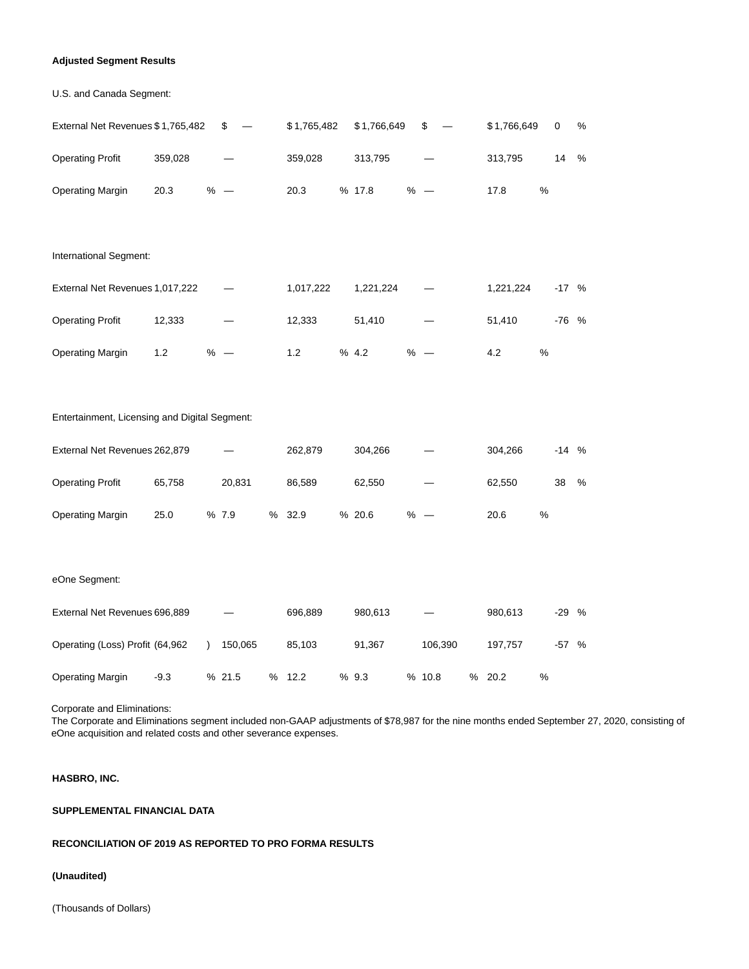## **Adjusted Segment Results**

| U.S. and Canada Segment:                      |         |        |             |             |       |             |      |             |      |
|-----------------------------------------------|---------|--------|-------------|-------------|-------|-------------|------|-------------|------|
| External Net Revenues \$1,765,482             |         | \$     | \$1,765,482 | \$1,766,649 | \$    | \$1,766,649 |      | $\mathbf 0$ | %    |
| <b>Operating Profit</b>                       | 359,028 |        | 359,028     | 313,795     |       | 313,795     |      | 14          | $\%$ |
| <b>Operating Margin</b>                       | 20.3    | $% -$  | 20.3        | % 17.8      | $% -$ | 17.8        | $\%$ |             |      |
|                                               |         |        |             |             |       |             |      |             |      |
| International Segment:                        |         |        |             |             |       |             |      |             |      |
| External Net Revenues 1,017,222               |         |        | 1,017,222   | 1,221,224   |       | 1,221,224   |      | $-17$ %     |      |
| <b>Operating Profit</b>                       | 12,333  |        | 12,333      | 51,410      |       | 51,410      |      | -76 %       |      |
| <b>Operating Margin</b>                       | 1.2     | $% -$  | 1.2         | % 4.2       | $% -$ | 4.2         | %    |             |      |
|                                               |         |        |             |             |       |             |      |             |      |
| Entertainment, Licensing and Digital Segment: |         |        |             |             |       |             |      |             |      |
| External Net Revenues 262,879                 |         |        | 262,879     | 304,266     |       | 304,266     |      | $-14$ %     |      |
| <b>Operating Profit</b>                       | 65,758  | 20,831 | 86,589      | 62,550      |       | 62,550      |      | 38          | $\%$ |
| <b>Operating Margin</b>                       | 25.0    | % 7.9  | % 32.9      | % 20.6      | $% -$ | 20.6        | $\%$ |             |      |
|                                               |         |        |             |             |       |             |      |             |      |
| eOne Segment:                                 |         |        |             |             |       |             |      |             |      |
|                                               |         |        |             |             |       |             |      |             |      |

| External Net Revenues 696,889   |        |         |      | 696.889 | 980.613 |         | 980.613 |   | $-29$ % |   |
|---------------------------------|--------|---------|------|---------|---------|---------|---------|---|---------|---|
| Operating (Loss) Profit (64,962 |        | 150.065 |      | 85.103  | 91.367  | 106.390 | 197.757 |   | -57     | % |
| <b>Operating Margin</b>         | $-9.3$ | %21.5   | $\%$ | 12.2    | %9.3    | %10.8   | % 20.2  | % |         |   |

Corporate and Eliminations:

The Corporate and Eliminations segment included non-GAAP adjustments of \$78,987 for the nine months ended September 27, 2020, consisting of eOne acquisition and related costs and other severance expenses.

# **HASBRO, INC.**

# **SUPPLEMENTAL FINANCIAL DATA**

## **RECONCILIATION OF 2019 AS REPORTED TO PRO FORMA RESULTS**

## **(Unaudited)**

(Thousands of Dollars)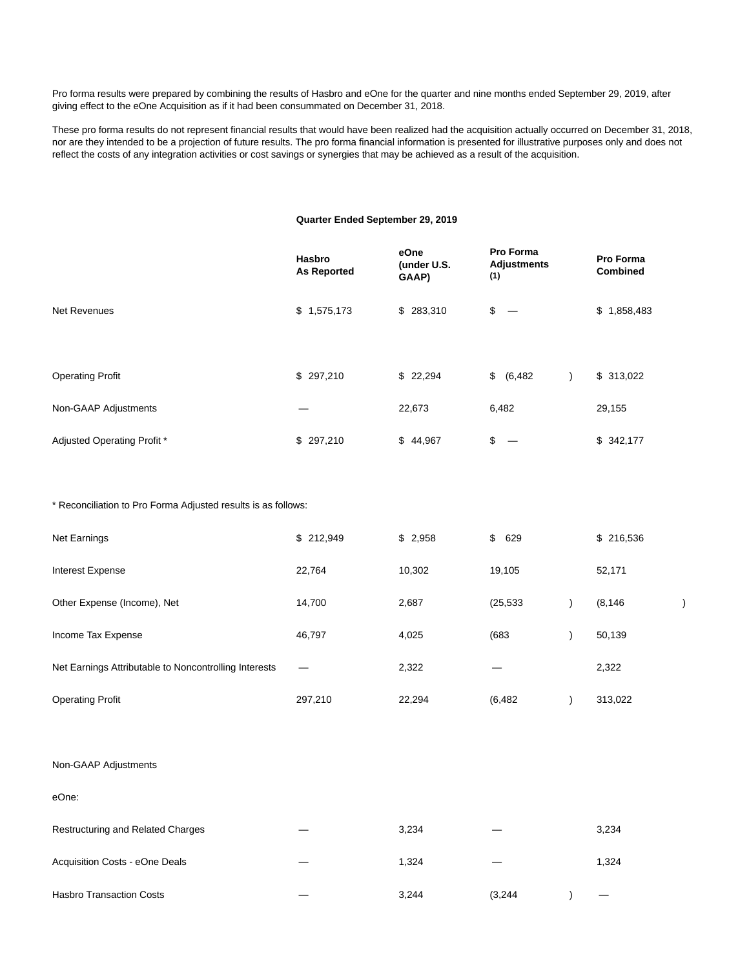Pro forma results were prepared by combining the results of Hasbro and eOne for the quarter and nine months ended September 29, 2019, after giving effect to the eOne Acquisition as if it had been consummated on December 31, 2018.

These pro forma results do not represent financial results that would have been realized had the acquisition actually occurred on December 31, 2018, nor are they intended to be a projection of future results. The pro forma financial information is presented for illustrative purposes only and does not reflect the costs of any integration activities or cost savings or synergies that may be achieved as a result of the acquisition.

## **Quarter Ended September 29, 2019**

|                             | <b>Hasbro</b><br><b>As Reported</b> | eOne<br>(under U.S.<br>GAAP) | <b>Pro Forma</b><br><b>Adjustments</b><br>(1) | Pro Forma<br><b>Combined</b> |
|-----------------------------|-------------------------------------|------------------------------|-----------------------------------------------|------------------------------|
| <b>Net Revenues</b>         | \$1,575,173                         | \$ 283,310                   | \$<br>$\hspace{0.1mm}-\hspace{0.1mm}$         | \$1,858,483                  |
| <b>Operating Profit</b>     | \$297,210                           | \$22,294                     | $\mathfrak{S}$<br>(6, 482)                    | \$313,022                    |
| Non-GAAP Adjustments        |                                     | 22,673                       | 6,482                                         | 29,155                       |
| Adjusted Operating Profit * | \$297,210                           | \$44,967                     | \$<br>$\hspace{0.05cm}$                       | \$342,177                    |

#### \* Reconciliation to Pro Forma Adjusted results is as follows:

| Net Earnings                                          | \$212,949 | \$2,958 | \$629     | \$216,536 |  |
|-------------------------------------------------------|-----------|---------|-----------|-----------|--|
| Interest Expense                                      | 22.764    | 10,302  | 19,105    | 52,171    |  |
| Other Expense (Income), Net                           | 14,700    | 2,687   | (25, 533) | (8, 146)  |  |
| Income Tax Expense                                    | 46,797    | 4,025   | (683)     | 50,139    |  |
| Net Earnings Attributable to Noncontrolling Interests |           | 2,322   | –         | 2,322     |  |
| <b>Operating Profit</b>                               | 297,210   | 22,294  | (6, 482)  | 313,022   |  |

#### Non-GAAP Adjustments

| eOne:                                    |       |         |       |
|------------------------------------------|-------|---------|-------|
| <b>Restructuring and Related Charges</b> | 3,234 |         | 3,234 |
| Acquisition Costs - eOne Deals           | 1,324 |         | 1,324 |
| <b>Hasbro Transaction Costs</b>          | 3,244 | (3,244) |       |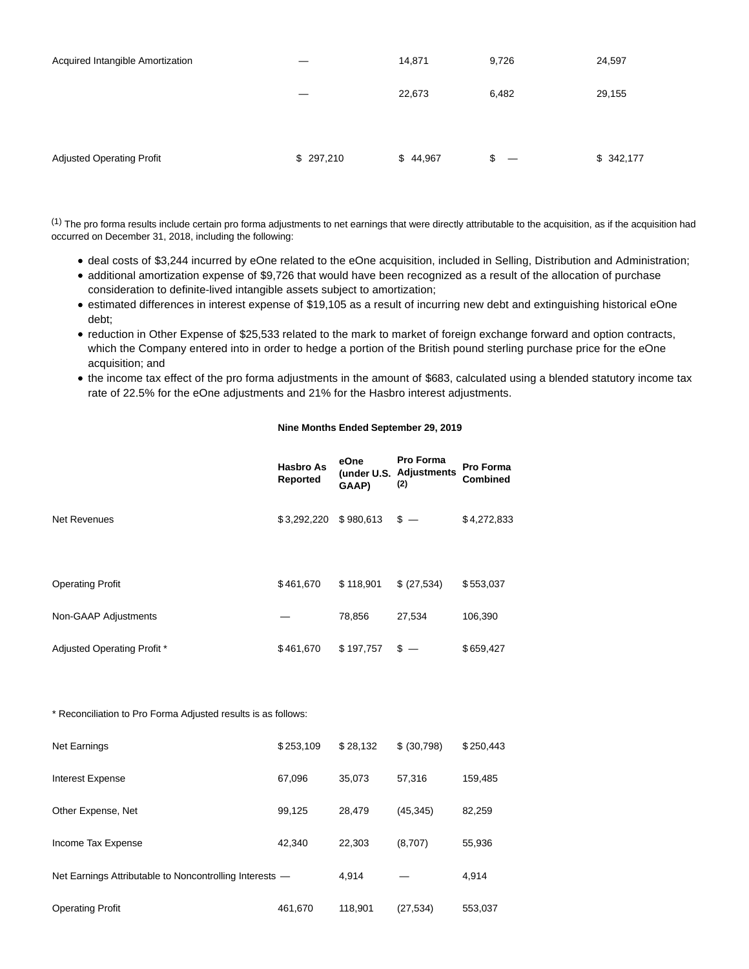| Acquired Intangible Amortization |           | 14,871   | 9,726 | 24,597    |
|----------------------------------|-----------|----------|-------|-----------|
|                                  |           | 22,673   | 6,482 | 29,155    |
|                                  |           |          |       |           |
| <b>Adjusted Operating Profit</b> | \$297,210 | \$44,967 | \$    | \$342,177 |

 $(1)$  The pro forma results include certain pro forma adjustments to net earnings that were directly attributable to the acquisition, as if the acquisition had occurred on December 31, 2018, including the following:

- deal costs of \$3,244 incurred by eOne related to the eOne acquisition, included in Selling, Distribution and Administration;
- additional amortization expense of \$9,726 that would have been recognized as a result of the allocation of purchase consideration to definite-lived intangible assets subject to amortization;
- estimated differences in interest expense of \$19,105 as a result of incurring new debt and extinguishing historical eOne debt;
- reduction in Other Expense of \$25,533 related to the mark to market of foreign exchange forward and option contracts, which the Company entered into in order to hedge a portion of the British pound sterling purchase price for the eOne acquisition; and
- the income tax effect of the pro forma adjustments in the amount of \$683, calculated using a blended statutory income tax rate of 22.5% for the eOne adjustments and 21% for the Hasbro interest adjustments.

# **Nine Months Ended September 29, 2019**

|                             | <b>Hasbro As</b><br>Reported | eOne<br>GAAP) | <b>Pro Forma</b><br>(under U.S. Adjustments<br>(2) | <b>Pro Forma</b><br><b>Combined</b> |
|-----------------------------|------------------------------|---------------|----------------------------------------------------|-------------------------------------|
| <b>Net Revenues</b>         | \$3,292,220                  | \$980,613     | $\sqrt[6]{-}$                                      | \$4,272,833                         |
| <b>Operating Profit</b>     | \$461,670                    | \$118,901     | \$ (27,534)                                        | \$553,037                           |
| Non-GAAP Adjustments        |                              | 78,856        | 27,534                                             | 106,390                             |
| Adjusted Operating Profit * | \$461,670                    | \$197,757     | $s -$                                              | \$659,427                           |

\* Reconciliation to Pro Forma Adjusted results is as follows:

| <b>Net Earnings</b>                                     | \$253,109 | \$28,132 | \$ (30,798) | \$250,443 |
|---------------------------------------------------------|-----------|----------|-------------|-----------|
| Interest Expense                                        | 67.096    | 35.073   | 57.316      | 159,485   |
| Other Expense, Net                                      | 99.125    | 28.479   | (45, 345)   | 82,259    |
| Income Tax Expense                                      | 42.340    | 22.303   | (8,707)     | 55,936    |
| Net Earnings Attributable to Noncontrolling Interests - |           | 4.914    |             | 4,914     |
| <b>Operating Profit</b>                                 | 461,670   | 118,901  | (27, 534)   | 553,037   |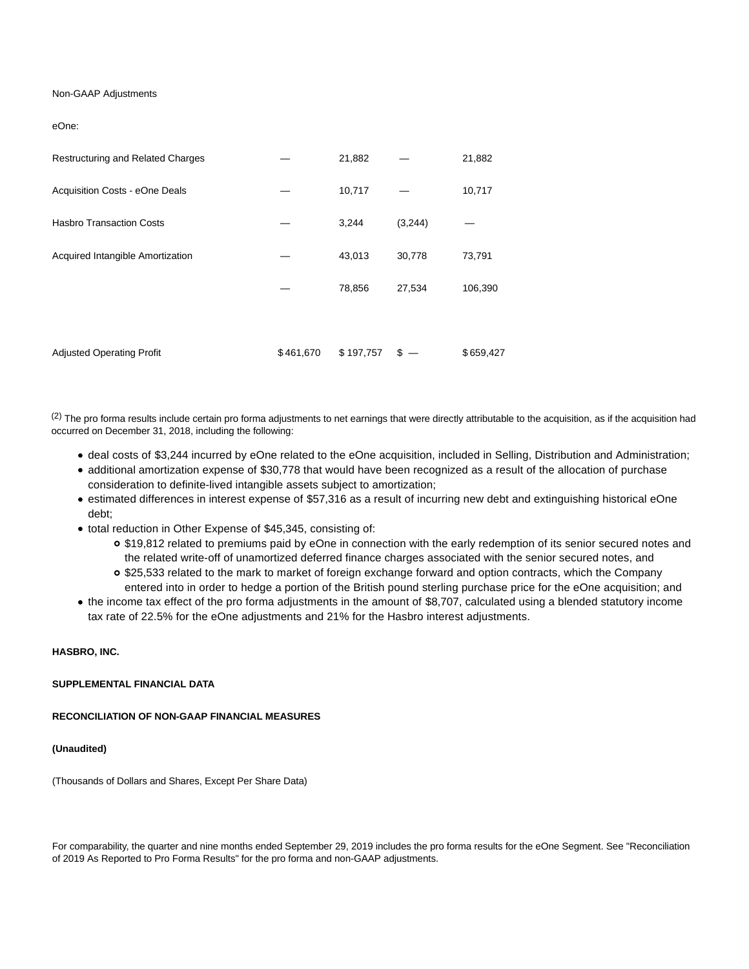## Non-GAAP Adjustments

#### eOne:

| Restructuring and Related Charges |           | 21,882    |         | 21,882    |
|-----------------------------------|-----------|-----------|---------|-----------|
| Acquisition Costs - eOne Deals    |           | 10,717    |         | 10,717    |
| <b>Hasbro Transaction Costs</b>   |           | 3,244     | (3,244) |           |
| Acquired Intangible Amortization  |           | 43,013    | 30,778  | 73,791    |
|                                   |           | 78,856    | 27,534  | 106,390   |
|                                   |           |           |         |           |
| <b>Adjusted Operating Profit</b>  | \$461,670 | \$197,757 | S       | \$659,427 |

 $(2)$  The pro forma results include certain pro forma adjustments to net earnings that were directly attributable to the acquisition, as if the acquisition had occurred on December 31, 2018, including the following:

- deal costs of \$3,244 incurred by eOne related to the eOne acquisition, included in Selling, Distribution and Administration;
- additional amortization expense of \$30,778 that would have been recognized as a result of the allocation of purchase consideration to definite-lived intangible assets subject to amortization;
- estimated differences in interest expense of \$57,316 as a result of incurring new debt and extinguishing historical eOne debt;
- total reduction in Other Expense of \$45,345, consisting of:
	- \$19,812 related to premiums paid by eOne in connection with the early redemption of its senior secured notes and the related write-off of unamortized deferred finance charges associated with the senior secured notes, and
	- \$25,533 related to the mark to market of foreign exchange forward and option contracts, which the Company entered into in order to hedge a portion of the British pound sterling purchase price for the eOne acquisition; and
- the income tax effect of the pro forma adjustments in the amount of \$8,707, calculated using a blended statutory income tax rate of 22.5% for the eOne adjustments and 21% for the Hasbro interest adjustments.

## **HASBRO, INC.**

#### **SUPPLEMENTAL FINANCIAL DATA**

#### **RECONCILIATION OF NON-GAAP FINANCIAL MEASURES**

#### **(Unaudited)**

(Thousands of Dollars and Shares, Except Per Share Data)

For comparability, the quarter and nine months ended September 29, 2019 includes the pro forma results for the eOne Segment. See "Reconciliation of 2019 As Reported to Pro Forma Results" for the pro forma and non-GAAP adjustments.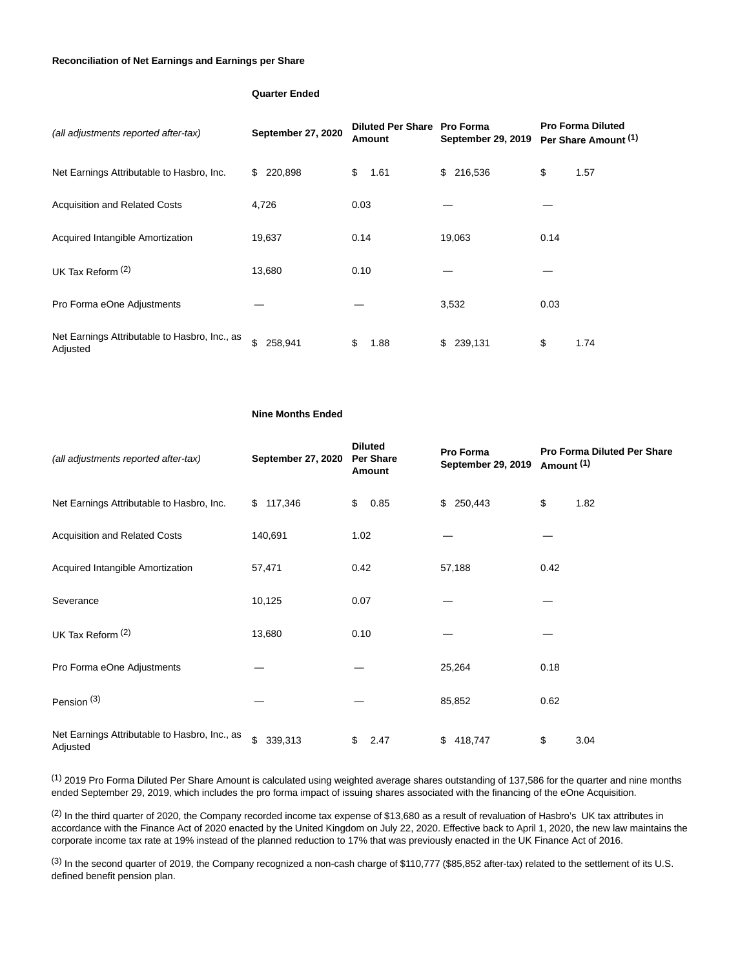### **Reconciliation of Net Earnings and Earnings per Share**

# **Quarter Ended**

| (all adjustments reported after-tax)                      | September 27, 2020 | Diluted Per Share Pro Forma<br>Amount | <b>September 29, 2019</b> | <b>Pro Forma Diluted</b><br>Per Share Amount (1) |
|-----------------------------------------------------------|--------------------|---------------------------------------|---------------------------|--------------------------------------------------|
| Net Earnings Attributable to Hasbro, Inc.                 | 220,898<br>\$      | \$<br>1.61                            | \$ 216,536                | \$<br>1.57                                       |
| <b>Acquisition and Related Costs</b>                      | 4,726              | 0.03                                  |                           |                                                  |
| Acquired Intangible Amortization                          | 19,637             | 0.14                                  | 19,063                    | 0.14                                             |
| UK Tax Reform $(2)$                                       | 13,680             | 0.10                                  |                           |                                                  |
| Pro Forma eOne Adjustments                                |                    |                                       | 3,532                     | 0.03                                             |
| Net Earnings Attributable to Hasbro, Inc., as<br>Adjusted | \$.<br>258,941     | 1.88<br>S                             | 239,131<br>\$.            | \$<br>1.74                                       |

#### **Nine Months Ended**

| (all adjustments reported after-tax)                      | September 27, 2020 | <b>Diluted</b><br>Per Share<br>Amount | Pro Forma<br>September 29, 2019 | Amount <sup>(1)</sup> | <b>Pro Forma Diluted Per Share</b> |
|-----------------------------------------------------------|--------------------|---------------------------------------|---------------------------------|-----------------------|------------------------------------|
| Net Earnings Attributable to Hasbro, Inc.                 | \$117,346          | \$<br>0.85                            | 250,443<br>\$                   | \$                    | 1.82                               |
| <b>Acquisition and Related Costs</b>                      | 140,691            | 1.02                                  |                                 |                       |                                    |
| Acquired Intangible Amortization                          | 57,471             | 0.42                                  | 57,188                          | 0.42                  |                                    |
| Severance                                                 | 10,125             | 0.07                                  |                                 |                       |                                    |
| UK Tax Reform $(2)$                                       | 13,680             | 0.10                                  |                                 |                       |                                    |
| Pro Forma eOne Adjustments                                |                    |                                       | 25,264                          | 0.18                  |                                    |
| Pension <sup>(3)</sup>                                    |                    |                                       | 85,852                          | 0.62                  |                                    |
| Net Earnings Attributable to Hasbro, Inc., as<br>Adjusted | \$<br>339,313      | \$<br>2.47                            | 418,747<br>\$                   | \$                    | 3.04                               |

(1) 2019 Pro Forma Diluted Per Share Amount is calculated using weighted average shares outstanding of 137,586 for the quarter and nine months ended September 29, 2019, which includes the pro forma impact of issuing shares associated with the financing of the eOne Acquisition.

 $(2)$  In the third quarter of 2020, the Company recorded income tax expense of \$13,680 as a result of revaluation of Hasbro's UK tax attributes in accordance with the Finance Act of 2020 enacted by the United Kingdom on July 22, 2020. Effective back to April 1, 2020, the new law maintains the corporate income tax rate at 19% instead of the planned reduction to 17% that was previously enacted in the UK Finance Act of 2016.

(3) In the second quarter of 2019, the Company recognized a non-cash charge of \$110,777 (\$85,852 after-tax) related to the settlement of its U.S. defined benefit pension plan.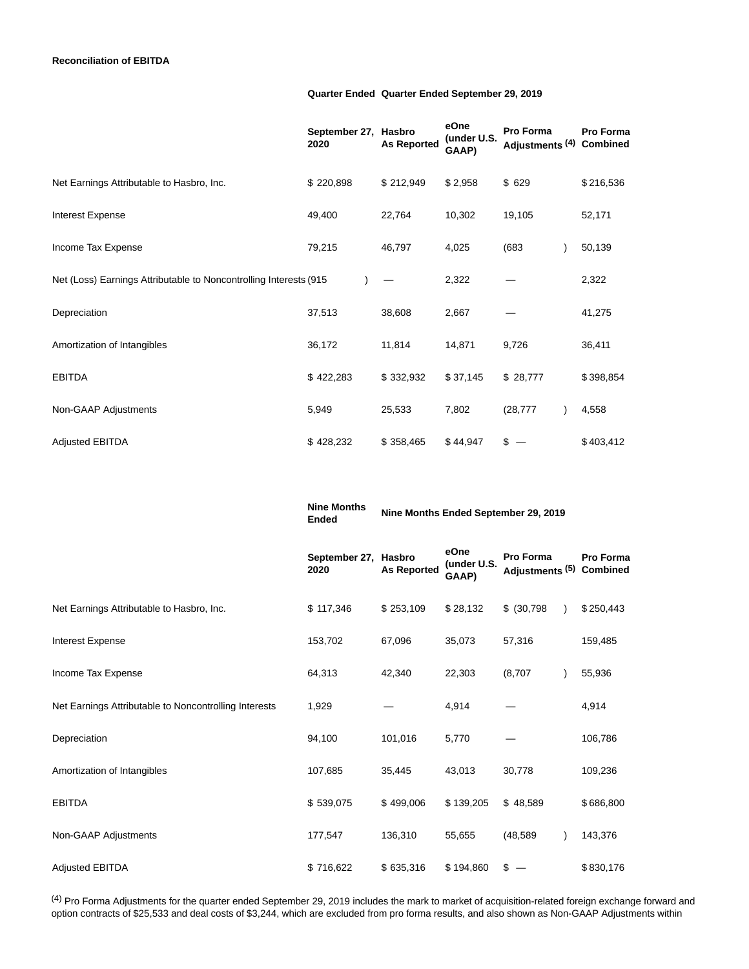### **Quarter Ended Quarter Ended September 29, 2019**

|                                                                   | September 27, Hasbro<br>2020 | <b>As Reported</b> | eOne<br>(under U.S.<br>GAAP) | Pro Forma<br>Adjustments (4) Combined | Pro Forma |
|-------------------------------------------------------------------|------------------------------|--------------------|------------------------------|---------------------------------------|-----------|
| Net Earnings Attributable to Hasbro, Inc.                         | \$220,898                    | \$212,949          | \$2,958                      | \$629                                 | \$216,536 |
| <b>Interest Expense</b>                                           | 49,400                       | 22,764             | 10,302                       | 19,105                                | 52,171    |
| Income Tax Expense                                                | 79,215                       | 46,797             | 4,025                        | (683)                                 | 50,139    |
| Net (Loss) Earnings Attributable to Noncontrolling Interests (915 |                              |                    | 2,322                        |                                       | 2,322     |
| Depreciation                                                      | 37,513                       | 38,608             | 2,667                        |                                       | 41,275    |
| Amortization of Intangibles                                       | 36,172                       | 11,814             | 14,871                       | 9,726                                 | 36,411    |
| <b>EBITDA</b>                                                     | \$422,283                    | \$332,932          | \$37,145                     | \$28,777                              | \$398,854 |
| Non-GAAP Adjustments                                              | 5,949                        | 25,533             | 7,802                        | (28, 777)                             | 4,558     |
| <b>Adjusted EBITDA</b>                                            | \$428,232                    | \$358,465          | \$44,947                     | \$                                    | \$403,412 |

**Ended Nine Months Ended September 29, 2019 September 27, Hasbro 2020 As Reported eOne (under U.S. GAAP) Pro Forma Adjustments (5) Combined Pro Forma** Net Earnings Attributable to Hasbro, Inc.  $$ 117,346$   $$ 253,109$   $$ 28,132$   $$ (30,798)$   $$ 250,443$ Interest Expense 153,702 67,096 35,073 57,316 159,485 Income Tax Expense 64,313 42,340 22,303 (8,707 ) 55,936 Net Earnings Attributable to Noncontrolling Interests  $1,929$  - 4,914 - 4,914 - 4,914 Depreciation 94,100 101,016 5,770 — 106,786 Amortization of Intangibles 109,236 107,685 35,445 43,013 30,778 109,236 EBITDA \$ 539,075 \$ 499,006 \$ 139,205 \$ 48,589 \$ 686,800 Non-GAAP Adjustments 177,547 136,310 55,655 (48,589 ) 143,376 Adjusted EBITDA \$ 716,622 \$ 635,316 \$ 194,860 \$ — \$ 830,176

**Nine Months**

(4) Pro Forma Adjustments for the quarter ended September 29, 2019 includes the mark to market of acquisition-related foreign exchange forward and option contracts of \$25,533 and deal costs of \$3,244, which are excluded from pro forma results, and also shown as Non-GAAP Adjustments within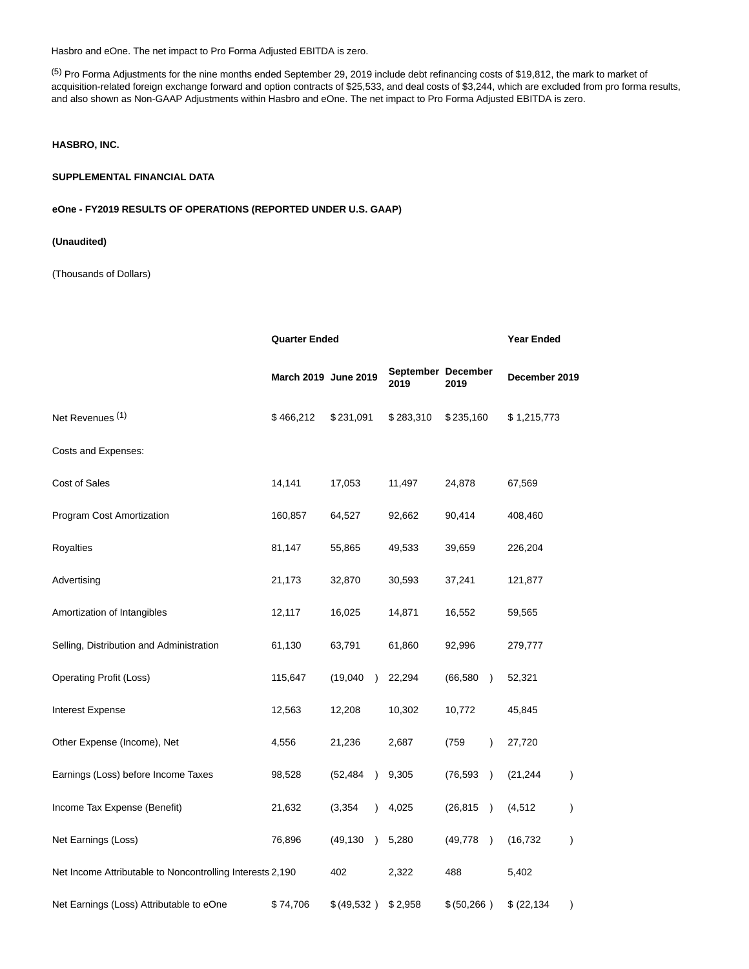Hasbro and eOne. The net impact to Pro Forma Adjusted EBITDA is zero.

(5) Pro Forma Adjustments for the nine months ended September 29, 2019 include debt refinancing costs of \$19,812, the mark to market of acquisition-related foreign exchange forward and option contracts of \$25,533, and deal costs of \$3,244, which are excluded from pro forma results, and also shown as Non-GAAP Adjustments within Hasbro and eOne. The net impact to Pro Forma Adjusted EBITDA is zero.

## **HASBRO, INC.**

#### **SUPPLEMENTAL FINANCIAL DATA**

# **eOne - FY2019 RESULTS OF OPERATIONS (REPORTED UNDER U.S. GAAP)**

# **(Unaudited)**

(Thousands of Dollars)

|                                                           |                      | <b>Quarter Ended</b>  |                            |                            |                                     |  |
|-----------------------------------------------------------|----------------------|-----------------------|----------------------------|----------------------------|-------------------------------------|--|
|                                                           | March 2019 June 2019 |                       | September December<br>2019 | 2019                       | December 2019                       |  |
| Net Revenues <sup>(1)</sup>                               | \$466,212            | \$231,091             | \$283,310                  | \$235,160                  | \$1,215,773                         |  |
| Costs and Expenses:                                       |                      |                       |                            |                            |                                     |  |
| Cost of Sales                                             | 14,141               | 17,053                | 11,497                     | 24,878                     | 67,569                              |  |
| Program Cost Amortization                                 | 160,857              | 64,527                | 92,662                     | 90,414                     | 408,460                             |  |
| Royalties                                                 | 81,147               | 55,865                | 49,533                     | 39,659                     | 226,204                             |  |
| Advertising                                               | 21,173               | 32,870                | 30,593                     | 37,241                     | 121,877                             |  |
| Amortization of Intangibles                               | 12,117               | 16,025                | 14,871                     | 16,552                     | 59,565                              |  |
| Selling, Distribution and Administration                  | 61,130               | 63,791                | 61,860                     | 92,996                     | 279,777                             |  |
| <b>Operating Profit (Loss)</b>                            | 115,647              | (19,040)<br>$\lambda$ | 22,294                     | (66, 580)<br>$\rightarrow$ | 52,321                              |  |
| Interest Expense                                          | 12,563               | 12,208                | 10,302                     | 10,772                     | 45,845                              |  |
| Other Expense (Income), Net                               | 4,556                | 21,236                | 2,687                      | (759<br>$\lambda$          | 27,720                              |  |
| Earnings (Loss) before Income Taxes                       | 98,528               | (52,484               | 9,305                      | (76, 593)<br>$\lambda$     | (21, 244)<br>$\mathcal{C}^{\prime}$ |  |
| Income Tax Expense (Benefit)                              | 21,632               | (3, 354)              | 4,025                      | (26, 815)<br>$\lambda$     | (4, 512)<br>$\mathcal{C}^{\prime}$  |  |
| Net Earnings (Loss)                                       | 76,896               | (49, 130)             | 5,280                      | (49, 778)<br>$\rightarrow$ | (16, 732)<br>$\mathcal{C}^{\prime}$ |  |
| Net Income Attributable to Noncontrolling Interests 2,190 |                      | 402                   | 2,322                      | 488                        | 5,402                               |  |
| Net Earnings (Loss) Attributable to eOne                  | \$74,706             | \$(49,532)            | \$2,958                    | \$ (50, 266)               | \$ (22, 134)<br>$\mathcal{E}$       |  |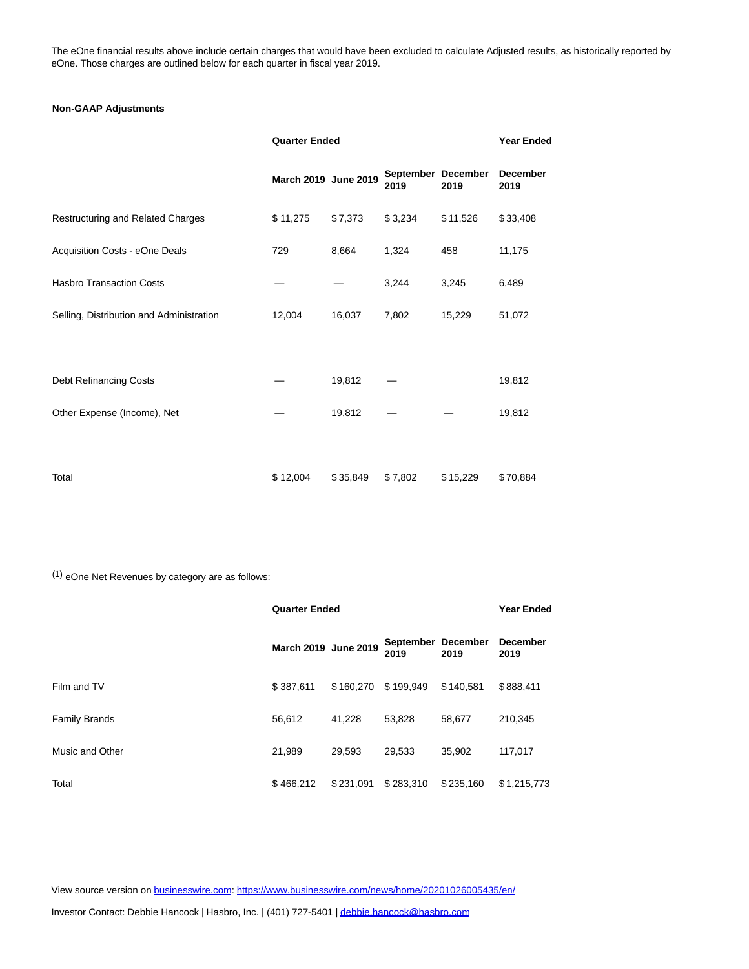The eOne financial results above include certain charges that would have been excluded to calculate Adjusted results, as historically reported by eOne. Those charges are outlined below for each quarter in fiscal year 2019.

# **Non-GAAP Adjustments**

|                                          | <b>Quarter Ended</b> |          |                            |          | <b>Year Ended</b>       |  |
|------------------------------------------|----------------------|----------|----------------------------|----------|-------------------------|--|
|                                          | March 2019 June 2019 |          | September December<br>2019 | 2019     | <b>December</b><br>2019 |  |
| Restructuring and Related Charges        | \$11,275             | \$7,373  | \$3,234                    | \$11,526 | \$33,408                |  |
| Acquisition Costs - eOne Deals           | 729                  | 8,664    | 1,324                      | 458      | 11,175                  |  |
| <b>Hasbro Transaction Costs</b>          |                      |          | 3,244                      | 3,245    | 6,489                   |  |
| Selling, Distribution and Administration | 12,004               | 16,037   | 7,802                      | 15,229   | 51,072                  |  |
|                                          |                      |          |                            |          |                         |  |
| Debt Refinancing Costs                   |                      | 19,812   |                            |          | 19,812                  |  |
| Other Expense (Income), Net              |                      | 19,812   |                            |          | 19,812                  |  |
|                                          |                      |          |                            |          |                         |  |
| Total                                    | \$12,004             | \$35,849 | \$7,802                    | \$15,229 | \$70,884                |  |

(1) eOne Net Revenues by category are as follows:

|                      | <b>Quarter Ended</b> |           |                            |           | <b>Year Ended</b>       |
|----------------------|----------------------|-----------|----------------------------|-----------|-------------------------|
|                      | March 2019 June 2019 |           | September December<br>2019 | 2019      | <b>December</b><br>2019 |
| Film and TV          | \$387.611            | \$160,270 | \$199,949                  | \$140.581 | \$888,411               |
| <b>Family Brands</b> | 56.612               | 41.228    | 53.828                     | 58.677    | 210.345                 |
| Music and Other      | 21.989               | 29.593    | 29.533                     | 35.902    | 117,017                 |
| Total                | \$466.212            | \$231.091 | \$283.310                  | \$235,160 | \$1,215,773             |

View source version on [businesswire.com:](http://businesswire.com/)<https://www.businesswire.com/news/home/20201026005435/en/>

Investor Contact: Debbie Hancock | Hasbro, Inc. | (401) 727-5401 [| debbie.hancock@hasbro.com](mailto:debbie.hancock@hasbro.com)